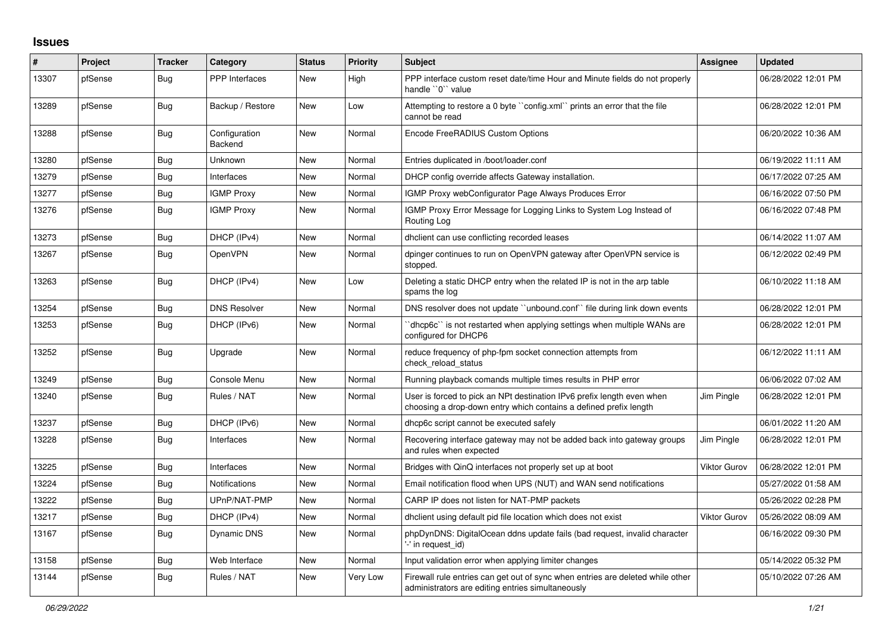## **Issues**

| #     | Project | Tracker    | Category                 | <b>Status</b> | <b>Priority</b> | <b>Subject</b>                                                                                                                              | Assignee            | <b>Updated</b>      |
|-------|---------|------------|--------------------------|---------------|-----------------|---------------------------------------------------------------------------------------------------------------------------------------------|---------------------|---------------------|
| 13307 | pfSense | Bug        | <b>PPP</b> Interfaces    | <b>New</b>    | High            | PPP interface custom reset date/time Hour and Minute fields do not properly<br>handle "0" value                                             |                     | 06/28/2022 12:01 PM |
| 13289 | pfSense | Bug        | Backup / Restore         | <b>New</b>    | Low             | Attempting to restore a 0 byte "config.xml" prints an error that the file<br>cannot be read                                                 |                     | 06/28/2022 12:01 PM |
| 13288 | pfSense | <b>Bug</b> | Configuration<br>Backend | New           | Normal          | Encode FreeRADIUS Custom Options                                                                                                            |                     | 06/20/2022 10:36 AM |
| 13280 | pfSense | Bug        | Unknown                  | New           | Normal          | Entries duplicated in /boot/loader.conf                                                                                                     |                     | 06/19/2022 11:11 AM |
| 13279 | pfSense | Bug        | Interfaces               | New           | Normal          | DHCP config override affects Gateway installation.                                                                                          |                     | 06/17/2022 07:25 AM |
| 13277 | pfSense | <b>Bug</b> | <b>IGMP Proxy</b>        | <b>New</b>    | Normal          | IGMP Proxy webConfigurator Page Always Produces Error                                                                                       |                     | 06/16/2022 07:50 PM |
| 13276 | pfSense | <b>Bug</b> | <b>IGMP Proxy</b>        | <b>New</b>    | Normal          | IGMP Proxy Error Message for Logging Links to System Log Instead of<br>Routing Log                                                          |                     | 06/16/2022 07:48 PM |
| 13273 | pfSense | <b>Bug</b> | DHCP (IPv4)              | New           | Normal          | dhclient can use conflicting recorded leases                                                                                                |                     | 06/14/2022 11:07 AM |
| 13267 | pfSense | <b>Bug</b> | <b>OpenVPN</b>           | New           | Normal          | dpinger continues to run on OpenVPN gateway after OpenVPN service is<br>stopped.                                                            |                     | 06/12/2022 02:49 PM |
| 13263 | pfSense | Bug        | DHCP (IPv4)              | New           | Low             | Deleting a static DHCP entry when the related IP is not in the arp table<br>spams the log                                                   |                     | 06/10/2022 11:18 AM |
| 13254 | pfSense | <b>Bug</b> | <b>DNS Resolver</b>      | New           | Normal          | DNS resolver does not update "unbound.conf" file during link down events                                                                    |                     | 06/28/2022 12:01 PM |
| 13253 | pfSense | Bug        | DHCP (IPv6)              | New           | Normal          | dhcp6c` is not restarted when applying settings when multiple WANs are<br>configured for DHCP6                                              |                     | 06/28/2022 12:01 PM |
| 13252 | pfSense | <b>Bug</b> | Upgrade                  | New           | Normal          | reduce frequency of php-fpm socket connection attempts from<br>check reload status                                                          |                     | 06/12/2022 11:11 AM |
| 13249 | pfSense | Bug        | Console Menu             | <b>New</b>    | Normal          | Running playback comands multiple times results in PHP error                                                                                |                     | 06/06/2022 07:02 AM |
| 13240 | pfSense | Bug        | Rules / NAT              | New           | Normal          | User is forced to pick an NPt destination IPv6 prefix length even when<br>choosing a drop-down entry which contains a defined prefix length | Jim Pingle          | 06/28/2022 12:01 PM |
| 13237 | pfSense | <b>Bug</b> | DHCP (IPv6)              | <b>New</b>    | Normal          | dhcp6c script cannot be executed safely                                                                                                     |                     | 06/01/2022 11:20 AM |
| 13228 | pfSense | Bug        | Interfaces               | New           | Normal          | Recovering interface gateway may not be added back into gateway groups<br>and rules when expected                                           | Jim Pingle          | 06/28/2022 12:01 PM |
| 13225 | pfSense | Bug        | Interfaces               | <b>New</b>    | Normal          | Bridges with QinQ interfaces not properly set up at boot                                                                                    | <b>Viktor Gurov</b> | 06/28/2022 12:01 PM |
| 13224 | pfSense | Bug        | Notifications            | New           | Normal          | Email notification flood when UPS (NUT) and WAN send notifications                                                                          |                     | 05/27/2022 01:58 AM |
| 13222 | pfSense | <b>Bug</b> | UPnP/NAT-PMP             | <b>New</b>    | Normal          | CARP IP does not listen for NAT-PMP packets                                                                                                 |                     | 05/26/2022 02:28 PM |
| 13217 | pfSense | Bug        | DHCP (IPv4)              | <b>New</b>    | Normal          | dhclient using default pid file location which does not exist                                                                               | <b>Viktor Gurov</b> | 05/26/2022 08:09 AM |
| 13167 | pfSense | Bug        | Dynamic DNS              | New           | Normal          | phpDynDNS: DigitalOcean ddns update fails (bad request, invalid character<br>'-' in request_id)                                             |                     | 06/16/2022 09:30 PM |
| 13158 | pfSense | <b>Bug</b> | Web Interface            | New           | Normal          | Input validation error when applying limiter changes                                                                                        |                     | 05/14/2022 05:32 PM |
| 13144 | pfSense | <b>Bug</b> | Rules / NAT              | New           | Very Low        | Firewall rule entries can get out of sync when entries are deleted while other<br>administrators are editing entries simultaneously         |                     | 05/10/2022 07:26 AM |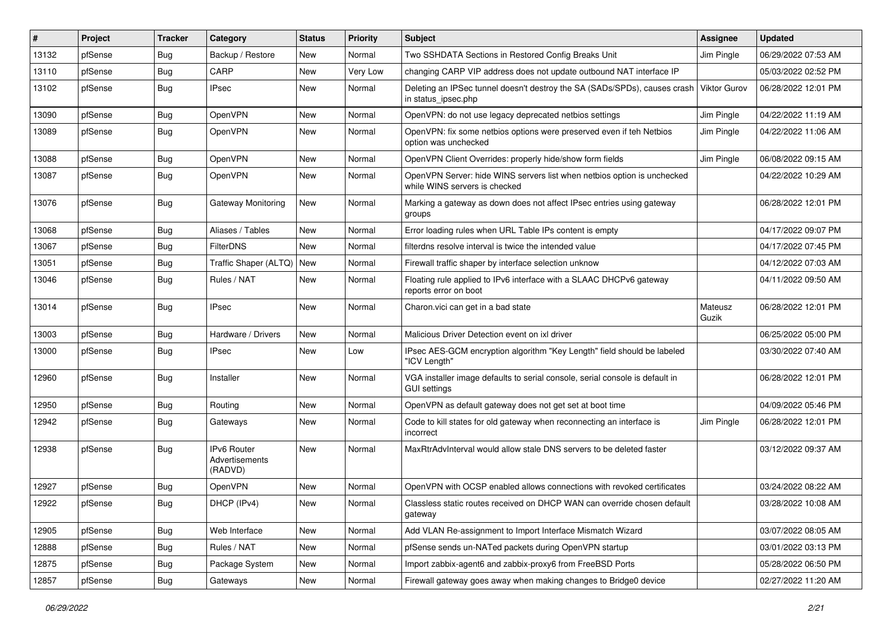| #     | Project | <b>Tracker</b> | Category                                 | <b>Status</b> | <b>Priority</b> | <b>Subject</b>                                                                                           | Assignee            | Updated             |
|-------|---------|----------------|------------------------------------------|---------------|-----------------|----------------------------------------------------------------------------------------------------------|---------------------|---------------------|
| 13132 | pfSense | Bug            | Backup / Restore                         | New           | Normal          | Two SSHDATA Sections in Restored Config Breaks Unit                                                      | Jim Pingle          | 06/29/2022 07:53 AM |
| 13110 | pfSense | Bug            | CARP                                     | New           | Very Low        | changing CARP VIP address does not update outbound NAT interface IP                                      |                     | 05/03/2022 02:52 PM |
| 13102 | pfSense | Bug            | <b>IPsec</b>                             | New           | Normal          | Deleting an IPSec tunnel doesn't destroy the SA (SADs/SPDs), causes crash<br>in status_ipsec.php         | <b>Viktor Gurov</b> | 06/28/2022 12:01 PM |
| 13090 | pfSense | Bug            | OpenVPN                                  | <b>New</b>    | Normal          | OpenVPN: do not use legacy deprecated netbios settings                                                   | Jim Pingle          | 04/22/2022 11:19 AM |
| 13089 | pfSense | Bug            | OpenVPN                                  | New           | Normal          | OpenVPN: fix some netbios options were preserved even if teh Netbios<br>option was unchecked             | Jim Pingle          | 04/22/2022 11:06 AM |
| 13088 | pfSense | Bug            | OpenVPN                                  | New           | Normal          | OpenVPN Client Overrides: properly hide/show form fields                                                 | Jim Pingle          | 06/08/2022 09:15 AM |
| 13087 | pfSense | Bug            | OpenVPN                                  | <b>New</b>    | Normal          | OpenVPN Server: hide WINS servers list when netbios option is unchecked<br>while WINS servers is checked |                     | 04/22/2022 10:29 AM |
| 13076 | pfSense | Bug            | Gateway Monitoring                       | <b>New</b>    | Normal          | Marking a gateway as down does not affect IPsec entries using gateway<br>groups                          |                     | 06/28/2022 12:01 PM |
| 13068 | pfSense | Bug            | Aliases / Tables                         | New           | Normal          | Error loading rules when URL Table IPs content is empty                                                  |                     | 04/17/2022 09:07 PM |
| 13067 | pfSense | Bug            | <b>FilterDNS</b>                         | New           | Normal          | filterdns resolve interval is twice the intended value                                                   |                     | 04/17/2022 07:45 PM |
| 13051 | pfSense | Bug            | Traffic Shaper (ALTQ)   New              |               | Normal          | Firewall traffic shaper by interface selection unknow                                                    |                     | 04/12/2022 07:03 AM |
| 13046 | pfSense | Bug            | Rules / NAT                              | <b>New</b>    | Normal          | Floating rule applied to IPv6 interface with a SLAAC DHCPv6 gateway<br>reports error on boot             |                     | 04/11/2022 09:50 AM |
| 13014 | pfSense | Bug            | <b>IPsec</b>                             | New           | Normal          | Charon.vici can get in a bad state                                                                       | Mateusz<br>Guzik    | 06/28/2022 12:01 PM |
| 13003 | pfSense | Bug            | Hardware / Drivers                       | New           | Normal          | Malicious Driver Detection event on ixl driver                                                           |                     | 06/25/2022 05:00 PM |
| 13000 | pfSense | Bug            | <b>IPsec</b>                             | New           | Low             | IPsec AES-GCM encryption algorithm "Key Length" field should be labeled<br>"ICV Length"                  |                     | 03/30/2022 07:40 AM |
| 12960 | pfSense | Bug            | Installer                                | New           | Normal          | VGA installer image defaults to serial console, serial console is default in<br><b>GUI settings</b>      |                     | 06/28/2022 12:01 PM |
| 12950 | pfSense | Bug            | Routing                                  | New           | Normal          | OpenVPN as default gateway does not get set at boot time                                                 |                     | 04/09/2022 05:46 PM |
| 12942 | pfSense | Bug            | Gateways                                 | New           | Normal          | Code to kill states for old gateway when reconnecting an interface is<br>incorrect                       | Jim Pingle          | 06/28/2022 12:01 PM |
| 12938 | pfSense | Bug            | IPv6 Router<br>Advertisements<br>(RADVD) | New           | Normal          | MaxRtrAdvInterval would allow stale DNS servers to be deleted faster                                     |                     | 03/12/2022 09:37 AM |
| 12927 | pfSense | Bug            | OpenVPN                                  | New           | Normal          | OpenVPN with OCSP enabled allows connections with revoked certificates                                   |                     | 03/24/2022 08:22 AM |
| 12922 | pfSense | <b>Bug</b>     | DHCP (IPv4)                              | New           | Normal          | Classless static routes received on DHCP WAN can override chosen default<br>gateway                      |                     | 03/28/2022 10:08 AM |
| 12905 | pfSense | Bug            | Web Interface                            | New           | Normal          | Add VLAN Re-assignment to Import Interface Mismatch Wizard                                               |                     | 03/07/2022 08:05 AM |
| 12888 | pfSense | Bug            | Rules / NAT                              | New           | Normal          | pfSense sends un-NATed packets during OpenVPN startup                                                    |                     | 03/01/2022 03:13 PM |
| 12875 | pfSense | <b>Bug</b>     | Package System                           | New           | Normal          | Import zabbix-agent6 and zabbix-proxy6 from FreeBSD Ports                                                |                     | 05/28/2022 06:50 PM |
| 12857 | pfSense | Bug            | Gateways                                 | New           | Normal          | Firewall gateway goes away when making changes to Bridge0 device                                         |                     | 02/27/2022 11:20 AM |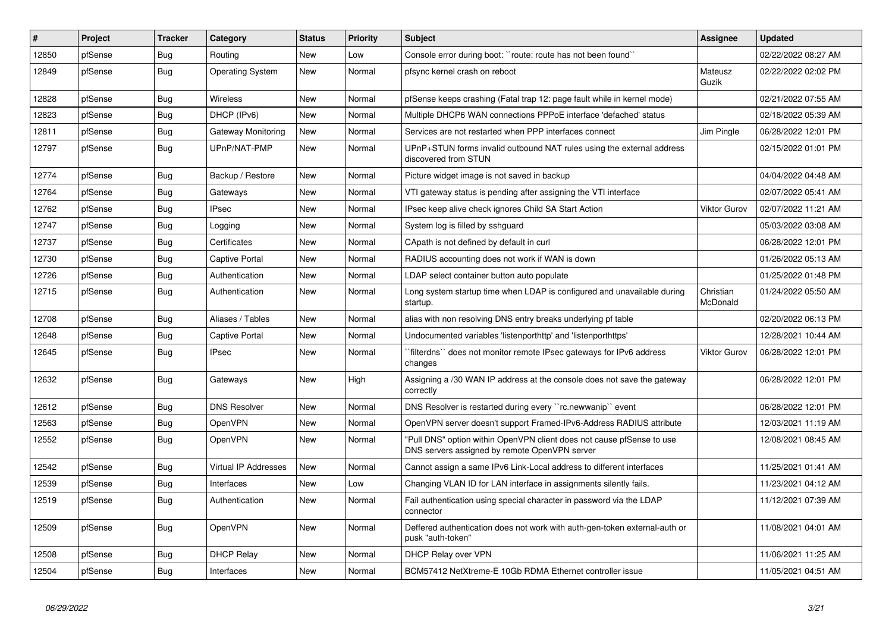| $\vert$ # | <b>Project</b> | <b>Tracker</b> | Category                    | <b>Status</b> | <b>Priority</b> | <b>Subject</b>                                                                                                         | <b>Assignee</b>       | <b>Updated</b>      |
|-----------|----------------|----------------|-----------------------------|---------------|-----------------|------------------------------------------------------------------------------------------------------------------------|-----------------------|---------------------|
| 12850     | pfSense        | <b>Bug</b>     | Routing                     | <b>New</b>    | Low             | Console error during boot: "route: route has not been found"                                                           |                       | 02/22/2022 08:27 AM |
| 12849     | pfSense        | Bug            | <b>Operating System</b>     | <b>New</b>    | Normal          | pfsync kernel crash on reboot                                                                                          | Mateusz<br>Guzik      | 02/22/2022 02:02 PM |
| 12828     | pfSense        | <b>Bug</b>     | Wireless                    | New           | Normal          | pfSense keeps crashing (Fatal trap 12: page fault while in kernel mode)                                                |                       | 02/21/2022 07:55 AM |
| 12823     | pfSense        | <b>Bug</b>     | DHCP (IPv6)                 | New           | Normal          | Multiple DHCP6 WAN connections PPPoE interface 'defached' status                                                       |                       | 02/18/2022 05:39 AM |
| 12811     | pfSense        | <b>Bug</b>     | Gateway Monitoring          | <b>New</b>    | Normal          | Services are not restarted when PPP interfaces connect                                                                 | Jim Pingle            | 06/28/2022 12:01 PM |
| 12797     | pfSense        | <b>Bug</b>     | UPnP/NAT-PMP                | New           | Normal          | UPnP+STUN forms invalid outbound NAT rules using the external address<br>discovered from STUN                          |                       | 02/15/2022 01:01 PM |
| 12774     | pfSense        | <b>Bug</b>     | Backup / Restore            | <b>New</b>    | Normal          | Picture widget image is not saved in backup                                                                            |                       | 04/04/2022 04:48 AM |
| 12764     | pfSense        | <b>Bug</b>     | Gateways                    | New           | Normal          | VTI gateway status is pending after assigning the VTI interface                                                        |                       | 02/07/2022 05:41 AM |
| 12762     | pfSense        | <b>Bug</b>     | <b>IPsec</b>                | New           | Normal          | IPsec keep alive check ignores Child SA Start Action                                                                   | <b>Viktor Gurov</b>   | 02/07/2022 11:21 AM |
| 12747     | pfSense        | <b>Bug</b>     | Logging                     | New           | Normal          | System log is filled by sshguard                                                                                       |                       | 05/03/2022 03:08 AM |
| 12737     | pfSense        | Bug            | Certificates                | New           | Normal          | CApath is not defined by default in curl                                                                               |                       | 06/28/2022 12:01 PM |
| 12730     | pfSense        | <b>Bug</b>     | <b>Captive Portal</b>       | New           | Normal          | RADIUS accounting does not work if WAN is down                                                                         |                       | 01/26/2022 05:13 AM |
| 12726     | pfSense        | Bug            | Authentication              | <b>New</b>    | Normal          | LDAP select container button auto populate                                                                             |                       | 01/25/2022 01:48 PM |
| 12715     | pfSense        | Bug            | Authentication              | New           | Normal          | Long system startup time when LDAP is configured and unavailable during<br>startup.                                    | Christian<br>McDonald | 01/24/2022 05:50 AM |
| 12708     | pfSense        | <b>Bug</b>     | Aliases / Tables            | <b>New</b>    | Normal          | alias with non resolving DNS entry breaks underlying pf table                                                          |                       | 02/20/2022 06:13 PM |
| 12648     | pfSense        | <b>Bug</b>     | <b>Captive Portal</b>       | New           | Normal          | Undocumented variables 'listenporthttp' and 'listenporthttps'                                                          |                       | 12/28/2021 10:44 AM |
| 12645     | pfSense        | Bug            | <b>IPsec</b>                | New           | Normal          | filterdns" does not monitor remote IPsec gateways for IPv6 address<br>changes                                          | Viktor Gurov          | 06/28/2022 12:01 PM |
| 12632     | pfSense        | Bug            | Gateways                    | New           | High            | Assigning a /30 WAN IP address at the console does not save the gateway<br>correctly                                   |                       | 06/28/2022 12:01 PM |
| 12612     | pfSense        | <b>Bug</b>     | <b>DNS Resolver</b>         | New           | Normal          | DNS Resolver is restarted during every "rc.newwanip" event                                                             |                       | 06/28/2022 12:01 PM |
| 12563     | pfSense        | <b>Bug</b>     | OpenVPN                     | <b>New</b>    | Normal          | OpenVPN server doesn't support Framed-IPv6-Address RADIUS attribute                                                    |                       | 12/03/2021 11:19 AM |
| 12552     | pfSense        | Bug            | OpenVPN                     | New           | Normal          | "Pull DNS" option within OpenVPN client does not cause pfSense to use<br>DNS servers assigned by remote OpenVPN server |                       | 12/08/2021 08:45 AM |
| 12542     | pfSense        | Bug            | <b>Virtual IP Addresses</b> | New           | Normal          | Cannot assign a same IPv6 Link-Local address to different interfaces                                                   |                       | 11/25/2021 01:41 AM |
| 12539     | pfSense        | <b>Bug</b>     | Interfaces                  | New           | Low             | Changing VLAN ID for LAN interface in assignments silently fails.                                                      |                       | 11/23/2021 04:12 AM |
| 12519     | pfSense        | <b>Bug</b>     | Authentication              | New           | Normal          | Fail authentication using special character in password via the LDAP<br>connector                                      |                       | 11/12/2021 07:39 AM |
| 12509     | pfSense        | Bug            | OpenVPN                     | <b>New</b>    | Normal          | Deffered authentication does not work with auth-gen-token external-auth or<br>pusk "auth-token"                        |                       | 11/08/2021 04:01 AM |
| 12508     | pfSense        | Bug            | <b>DHCP Relay</b>           | New           | Normal          | DHCP Relay over VPN                                                                                                    |                       | 11/06/2021 11:25 AM |
| 12504     | pfSense        | <b>Bug</b>     | Interfaces                  | New           | Normal          | BCM57412 NetXtreme-E 10Gb RDMA Ethernet controller issue                                                               |                       | 11/05/2021 04:51 AM |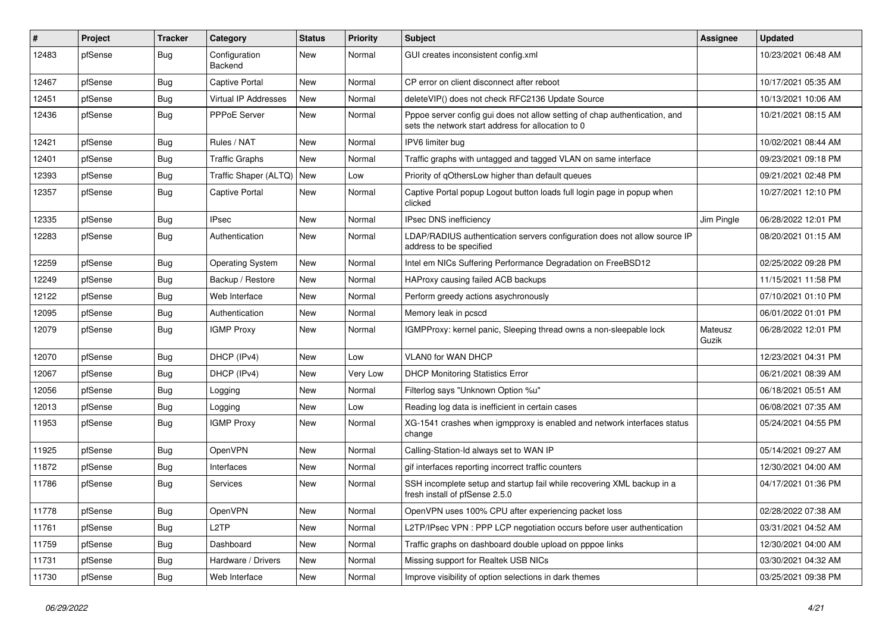| #     | Project | <b>Tracker</b> | Category                 | <b>Status</b> | <b>Priority</b> | <b>Subject</b>                                                                                                                   | Assignee         | <b>Updated</b>      |
|-------|---------|----------------|--------------------------|---------------|-----------------|----------------------------------------------------------------------------------------------------------------------------------|------------------|---------------------|
| 12483 | pfSense | <b>Bug</b>     | Configuration<br>Backend | New           | Normal          | GUI creates inconsistent config.xml                                                                                              |                  | 10/23/2021 06:48 AM |
| 12467 | pfSense | Bug            | <b>Captive Portal</b>    | New           | Normal          | CP error on client disconnect after reboot                                                                                       |                  | 10/17/2021 05:35 AM |
| 12451 | pfSense | Bug            | Virtual IP Addresses     | New           | Normal          | deleteVIP() does not check RFC2136 Update Source                                                                                 |                  | 10/13/2021 10:06 AM |
| 12436 | pfSense | Bug            | PPPoE Server             | New           | Normal          | Pppoe server config gui does not allow setting of chap authentication, and<br>sets the network start address for allocation to 0 |                  | 10/21/2021 08:15 AM |
| 12421 | pfSense | Bug            | Rules / NAT              | New           | Normal          | IPV6 limiter bug                                                                                                                 |                  | 10/02/2021 08:44 AM |
| 12401 | pfSense | Bug            | <b>Traffic Graphs</b>    | New           | Normal          | Traffic graphs with untagged and tagged VLAN on same interface                                                                   |                  | 09/23/2021 09:18 PM |
| 12393 | pfSense | <b>Bug</b>     | Traffic Shaper (ALTQ)    | New           | Low             | Priority of qOthersLow higher than default queues                                                                                |                  | 09/21/2021 02:48 PM |
| 12357 | pfSense | Bug            | <b>Captive Portal</b>    | New           | Normal          | Captive Portal popup Logout button loads full login page in popup when<br>clicked                                                |                  | 10/27/2021 12:10 PM |
| 12335 | pfSense | Bug            | <b>IPsec</b>             | New           | Normal          | IPsec DNS inefficiency                                                                                                           | Jim Pingle       | 06/28/2022 12:01 PM |
| 12283 | pfSense | Bug            | Authentication           | New           | Normal          | LDAP/RADIUS authentication servers configuration does not allow source IP<br>address to be specified                             |                  | 08/20/2021 01:15 AM |
| 12259 | pfSense | Bug            | <b>Operating System</b>  | New           | Normal          | Intel em NICs Suffering Performance Degradation on FreeBSD12                                                                     |                  | 02/25/2022 09:28 PM |
| 12249 | pfSense | Bug            | Backup / Restore         | New           | Normal          | HAProxy causing failed ACB backups                                                                                               |                  | 11/15/2021 11:58 PM |
| 12122 | pfSense | Bug            | Web Interface            | New           | Normal          | Perform greedy actions asychronously                                                                                             |                  | 07/10/2021 01:10 PM |
| 12095 | pfSense | <b>Bug</b>     | Authentication           | New           | Normal          | Memory leak in pcscd                                                                                                             |                  | 06/01/2022 01:01 PM |
| 12079 | pfSense | Bug            | <b>IGMP Proxy</b>        | New           | Normal          | IGMPProxy: kernel panic, Sleeping thread owns a non-sleepable lock                                                               | Mateusz<br>Guzik | 06/28/2022 12:01 PM |
| 12070 | pfSense | Bug            | DHCP (IPv4)              | New           | Low             | <b>VLANO for WAN DHCP</b>                                                                                                        |                  | 12/23/2021 04:31 PM |
| 12067 | pfSense | Bug            | DHCP (IPv4)              | New           | Very Low        | <b>DHCP Monitoring Statistics Error</b>                                                                                          |                  | 06/21/2021 08:39 AM |
| 12056 | pfSense | Bug            | Logging                  | New           | Normal          | Filterlog says "Unknown Option %u"                                                                                               |                  | 06/18/2021 05:51 AM |
| 12013 | pfSense | <b>Bug</b>     | Logging                  | New           | Low             | Reading log data is inefficient in certain cases                                                                                 |                  | 06/08/2021 07:35 AM |
| 11953 | pfSense | <b>Bug</b>     | <b>IGMP Proxy</b>        | New           | Normal          | XG-1541 crashes when igmpproxy is enabled and network interfaces status<br>change                                                |                  | 05/24/2021 04:55 PM |
| 11925 | pfSense | Bug            | OpenVPN                  | New           | Normal          | Calling-Station-Id always set to WAN IP                                                                                          |                  | 05/14/2021 09:27 AM |
| 11872 | pfSense | <b>Bug</b>     | Interfaces               | New           | Normal          | gif interfaces reporting incorrect traffic counters                                                                              |                  | 12/30/2021 04:00 AM |
| 11786 | pfSense | Bug            | Services                 | New           | Normal          | SSH incomplete setup and startup fail while recovering XML backup in a<br>fresh install of pfSense 2.5.0                         |                  | 04/17/2021 01:36 PM |
| 11778 | pfSense | <b>Bug</b>     | OpenVPN                  | New           | Normal          | OpenVPN uses 100% CPU after experiencing packet loss                                                                             |                  | 02/28/2022 07:38 AM |
| 11761 | pfSense | <b>Bug</b>     | L2TP                     | New           | Normal          | L2TP/IPsec VPN : PPP LCP negotiation occurs before user authentication                                                           |                  | 03/31/2021 04:52 AM |
| 11759 | pfSense | <b>Bug</b>     | Dashboard                | New           | Normal          | Traffic graphs on dashboard double upload on pppoe links                                                                         |                  | 12/30/2021 04:00 AM |
| 11731 | pfSense | Bug            | Hardware / Drivers       | New           | Normal          | Missing support for Realtek USB NICs                                                                                             |                  | 03/30/2021 04:32 AM |
| 11730 | pfSense | Bug            | Web Interface            | New           | Normal          | Improve visibility of option selections in dark themes                                                                           |                  | 03/25/2021 09:38 PM |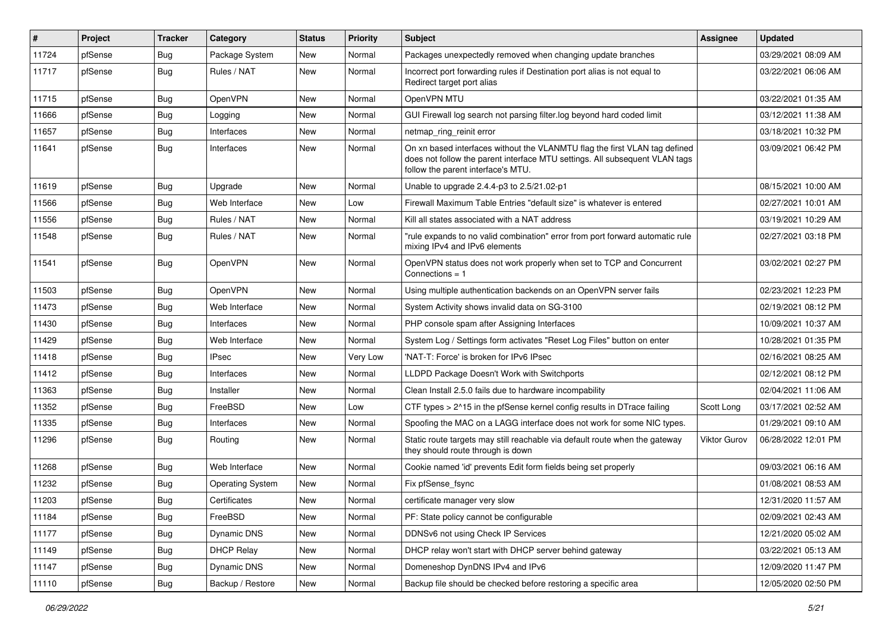| #     | Project | Tracker    | Category                | <b>Status</b> | <b>Priority</b> | <b>Subject</b>                                                                                                                                                                                  | <b>Assignee</b>     | <b>Updated</b>      |
|-------|---------|------------|-------------------------|---------------|-----------------|-------------------------------------------------------------------------------------------------------------------------------------------------------------------------------------------------|---------------------|---------------------|
| 11724 | pfSense | Bug        | Package System          | New           | Normal          | Packages unexpectedly removed when changing update branches                                                                                                                                     |                     | 03/29/2021 08:09 AM |
| 11717 | pfSense | Bug        | Rules / NAT             | <b>New</b>    | Normal          | Incorrect port forwarding rules if Destination port alias is not equal to<br>Redirect target port alias                                                                                         |                     | 03/22/2021 06:06 AM |
| 11715 | pfSense | <b>Bug</b> | OpenVPN                 | New           | Normal          | OpenVPN MTU                                                                                                                                                                                     |                     | 03/22/2021 01:35 AM |
| 11666 | pfSense | Bug        | Logging                 | <b>New</b>    | Normal          | GUI Firewall log search not parsing filter.log beyond hard coded limit                                                                                                                          |                     | 03/12/2021 11:38 AM |
| 11657 | pfSense | <b>Bug</b> | Interfaces              | New           | Normal          | netmap_ring_reinit error                                                                                                                                                                        |                     | 03/18/2021 10:32 PM |
| 11641 | pfSense | Bug        | Interfaces              | New           | Normal          | On xn based interfaces without the VLANMTU flag the first VLAN tag defined<br>does not follow the parent interface MTU settings. All subsequent VLAN tags<br>follow the parent interface's MTU. |                     | 03/09/2021 06:42 PM |
| 11619 | pfSense | Bug        | Upgrade                 | <b>New</b>    | Normal          | Unable to upgrade 2.4.4-p3 to 2.5/21.02-p1                                                                                                                                                      |                     | 08/15/2021 10:00 AM |
| 11566 | pfSense | <b>Bug</b> | Web Interface           | New           | Low             | Firewall Maximum Table Entries "default size" is whatever is entered                                                                                                                            |                     | 02/27/2021 10:01 AM |
| 11556 | pfSense | <b>Bug</b> | Rules / NAT             | New           | Normal          | Kill all states associated with a NAT address                                                                                                                                                   |                     | 03/19/2021 10:29 AM |
| 11548 | pfSense | Bug        | Rules / NAT             | New           | Normal          | "rule expands to no valid combination" error from port forward automatic rule<br>mixing IPv4 and IPv6 elements                                                                                  |                     | 02/27/2021 03:18 PM |
| 11541 | pfSense | Bug        | OpenVPN                 | New           | Normal          | OpenVPN status does not work properly when set to TCP and Concurrent<br>Connections $= 1$                                                                                                       |                     | 03/02/2021 02:27 PM |
| 11503 | pfSense | <b>Bug</b> | OpenVPN                 | New           | Normal          | Using multiple authentication backends on an OpenVPN server fails                                                                                                                               |                     | 02/23/2021 12:23 PM |
| 11473 | pfSense | Bug        | Web Interface           | New           | Normal          | System Activity shows invalid data on SG-3100                                                                                                                                                   |                     | 02/19/2021 08:12 PM |
| 11430 | pfSense | Bug        | Interfaces              | New           | Normal          | PHP console spam after Assigning Interfaces                                                                                                                                                     |                     | 10/09/2021 10:37 AM |
| 11429 | pfSense | <b>Bug</b> | Web Interface           | New           | Normal          | System Log / Settings form activates "Reset Log Files" button on enter                                                                                                                          |                     | 10/28/2021 01:35 PM |
| 11418 | pfSense | Bug        | <b>IPsec</b>            | New           | Very Low        | 'NAT-T: Force' is broken for IPv6 IPsec                                                                                                                                                         |                     | 02/16/2021 08:25 AM |
| 11412 | pfSense | <b>Bug</b> | Interfaces              | New           | Normal          | LLDPD Package Doesn't Work with Switchports                                                                                                                                                     |                     | 02/12/2021 08:12 PM |
| 11363 | pfSense | Bug        | Installer               | New           | Normal          | Clean Install 2.5.0 fails due to hardware incompability                                                                                                                                         |                     | 02/04/2021 11:06 AM |
| 11352 | pfSense | Bug        | FreeBSD                 | New           | Low             | CTF types > 2^15 in the pfSense kernel config results in DTrace failing                                                                                                                         | Scott Long          | 03/17/2021 02:52 AM |
| 11335 | pfSense | Bug        | Interfaces              | New           | Normal          | Spoofing the MAC on a LAGG interface does not work for some NIC types.                                                                                                                          |                     | 01/29/2021 09:10 AM |
| 11296 | pfSense | Bug        | Routing                 | New           | Normal          | Static route targets may still reachable via default route when the gateway<br>they should route through is down                                                                                | <b>Viktor Gurov</b> | 06/28/2022 12:01 PM |
| 11268 | pfSense | Bug        | Web Interface           | <b>New</b>    | Normal          | Cookie named 'id' prevents Edit form fields being set properly                                                                                                                                  |                     | 09/03/2021 06:16 AM |
| 11232 | pfSense | Bug        | <b>Operating System</b> | <b>New</b>    | Normal          | Fix pfSense_fsync                                                                                                                                                                               |                     | 01/08/2021 08:53 AM |
| 11203 | pfSense | Bug        | Certificates            | New           | Normal          | certificate manager very slow                                                                                                                                                                   |                     | 12/31/2020 11:57 AM |
| 11184 | pfSense | <b>Bug</b> | FreeBSD                 | New           | Normal          | PF: State policy cannot be configurable                                                                                                                                                         |                     | 02/09/2021 02:43 AM |
| 11177 | pfSense | <b>Bug</b> | Dynamic DNS             | New           | Normal          | DDNSv6 not using Check IP Services                                                                                                                                                              |                     | 12/21/2020 05:02 AM |
| 11149 | pfSense | <b>Bug</b> | <b>DHCP Relay</b>       | New           | Normal          | DHCP relay won't start with DHCP server behind gateway                                                                                                                                          |                     | 03/22/2021 05:13 AM |
| 11147 | pfSense | <b>Bug</b> | <b>Dynamic DNS</b>      | New           | Normal          | Domeneshop DynDNS IPv4 and IPv6                                                                                                                                                                 |                     | 12/09/2020 11:47 PM |
| 11110 | pfSense | Bug        | Backup / Restore        | New           | Normal          | Backup file should be checked before restoring a specific area                                                                                                                                  |                     | 12/05/2020 02:50 PM |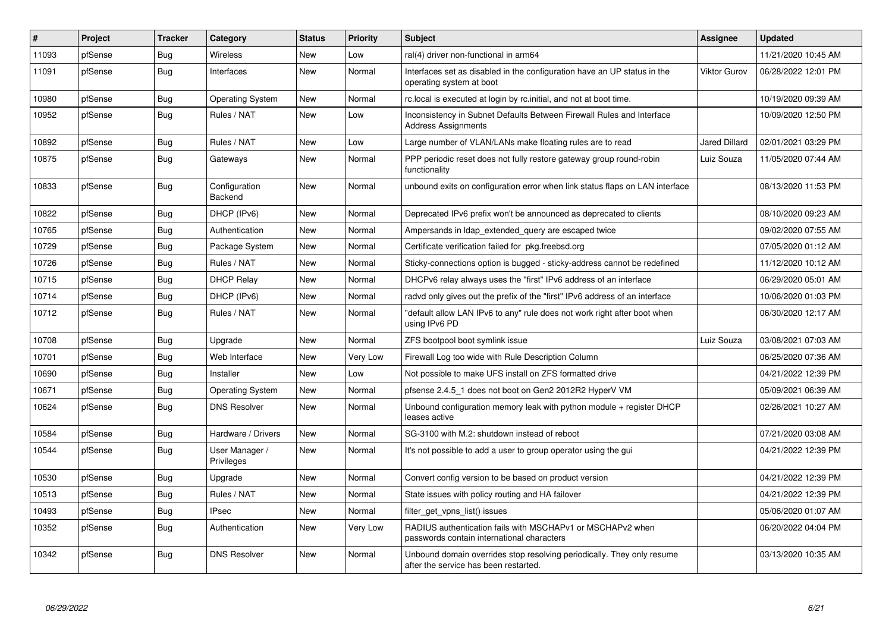| $\vert$ # | Project | <b>Tracker</b> | Category                        | <b>Status</b> | Priority | <b>Subject</b>                                                                                                  | Assignee             | <b>Updated</b>      |
|-----------|---------|----------------|---------------------------------|---------------|----------|-----------------------------------------------------------------------------------------------------------------|----------------------|---------------------|
| 11093     | pfSense | Bug            | Wireless                        | <b>New</b>    | Low      | ral(4) driver non-functional in arm64                                                                           |                      | 11/21/2020 10:45 AM |
| 11091     | pfSense | Bug            | Interfaces                      | New           | Normal   | Interfaces set as disabled in the configuration have an UP status in the<br>operating system at boot            | <b>Viktor Gurov</b>  | 06/28/2022 12:01 PM |
| 10980     | pfSense | <b>Bug</b>     | <b>Operating System</b>         | <b>New</b>    | Normal   | rc.local is executed at login by rc.initial, and not at boot time.                                              |                      | 10/19/2020 09:39 AM |
| 10952     | pfSense | Bug            | Rules / NAT                     | <b>New</b>    | Low      | Inconsistency in Subnet Defaults Between Firewall Rules and Interface<br><b>Address Assignments</b>             |                      | 10/09/2020 12:50 PM |
| 10892     | pfSense | Bug            | Rules / NAT                     | <b>New</b>    | Low      | Large number of VLAN/LANs make floating rules are to read                                                       | <b>Jared Dillard</b> | 02/01/2021 03:29 PM |
| 10875     | pfSense | Bug            | Gateways                        | New           | Normal   | PPP periodic reset does not fully restore gateway group round-robin<br>functionality                            | Luiz Souza           | 11/05/2020 07:44 AM |
| 10833     | pfSense | <b>Bug</b>     | Configuration<br><b>Backend</b> | <b>New</b>    | Normal   | unbound exits on configuration error when link status flaps on LAN interface                                    |                      | 08/13/2020 11:53 PM |
| 10822     | pfSense | Bug            | DHCP (IPv6)                     | New           | Normal   | Deprecated IPv6 prefix won't be announced as deprecated to clients                                              |                      | 08/10/2020 09:23 AM |
| 10765     | pfSense | <b>Bug</b>     | Authentication                  | <b>New</b>    | Normal   | Ampersands in Idap_extended_query are escaped twice                                                             |                      | 09/02/2020 07:55 AM |
| 10729     | pfSense | Bug            | Package System                  | New           | Normal   | Certificate verification failed for pkg freebsd org                                                             |                      | 07/05/2020 01:12 AM |
| 10726     | pfSense | <b>Bug</b>     | Rules / NAT                     | New           | Normal   | Sticky-connections option is bugged - sticky-address cannot be redefined                                        |                      | 11/12/2020 10:12 AM |
| 10715     | pfSense | <b>Bug</b>     | <b>DHCP Relay</b>               | New           | Normal   | DHCPv6 relay always uses the "first" IPv6 address of an interface                                               |                      | 06/29/2020 05:01 AM |
| 10714     | pfSense | <b>Bug</b>     | DHCP (IPv6)                     | New           | Normal   | radyd only gives out the prefix of the "first" IPv6 address of an interface                                     |                      | 10/06/2020 01:03 PM |
| 10712     | pfSense | Bug            | Rules / NAT                     | <b>New</b>    | Normal   | "default allow LAN IPv6 to any" rule does not work right after boot when<br>using IPv6 PD                       |                      | 06/30/2020 12:17 AM |
| 10708     | pfSense | <b>Bug</b>     | Upgrade                         | New           | Normal   | ZFS bootpool boot symlink issue                                                                                 | Luiz Souza           | 03/08/2021 07:03 AM |
| 10701     | pfSense | <b>Bug</b>     | Web Interface                   | <b>New</b>    | Very Low | Firewall Log too wide with Rule Description Column                                                              |                      | 06/25/2020 07:36 AM |
| 10690     | pfSense | Bug            | Installer                       | <b>New</b>    | Low      | Not possible to make UFS install on ZFS formatted drive                                                         |                      | 04/21/2022 12:39 PM |
| 10671     | pfSense | Bug            | <b>Operating System</b>         | New           | Normal   | pfsense 2.4.5 1 does not boot on Gen2 2012R2 HyperV VM                                                          |                      | 05/09/2021 06:39 AM |
| 10624     | pfSense | Bug            | <b>DNS Resolver</b>             | New           | Normal   | Unbound configuration memory leak with python module + register DHCP<br>leases active                           |                      | 02/26/2021 10:27 AM |
| 10584     | pfSense | Bug            | Hardware / Drivers              | New           | Normal   | SG-3100 with M.2: shutdown instead of reboot                                                                    |                      | 07/21/2020 03:08 AM |
| 10544     | pfSense | Bug            | User Manager /<br>Privileges    | New           | Normal   | It's not possible to add a user to group operator using the gui                                                 |                      | 04/21/2022 12:39 PM |
| 10530     | pfSense | <b>Bug</b>     | Upgrade                         | New           | Normal   | Convert config version to be based on product version                                                           |                      | 04/21/2022 12:39 PM |
| 10513     | pfSense | Bug            | Rules / NAT                     | New           | Normal   | State issues with policy routing and HA failover                                                                |                      | 04/21/2022 12:39 PM |
| 10493     | pfSense | <b>Bug</b>     | <b>IPsec</b>                    | New           | Normal   | filter get vpns list() issues                                                                                   |                      | 05/06/2020 01:07 AM |
| 10352     | pfSense | Bug            | Authentication                  | New           | Very Low | RADIUS authentication fails with MSCHAPv1 or MSCHAPv2 when<br>passwords contain international characters        |                      | 06/20/2022 04:04 PM |
| 10342     | pfSense | <b>Bug</b>     | <b>DNS Resolver</b>             | <b>New</b>    | Normal   | Unbound domain overrides stop resolving periodically. They only resume<br>after the service has been restarted. |                      | 03/13/2020 10:35 AM |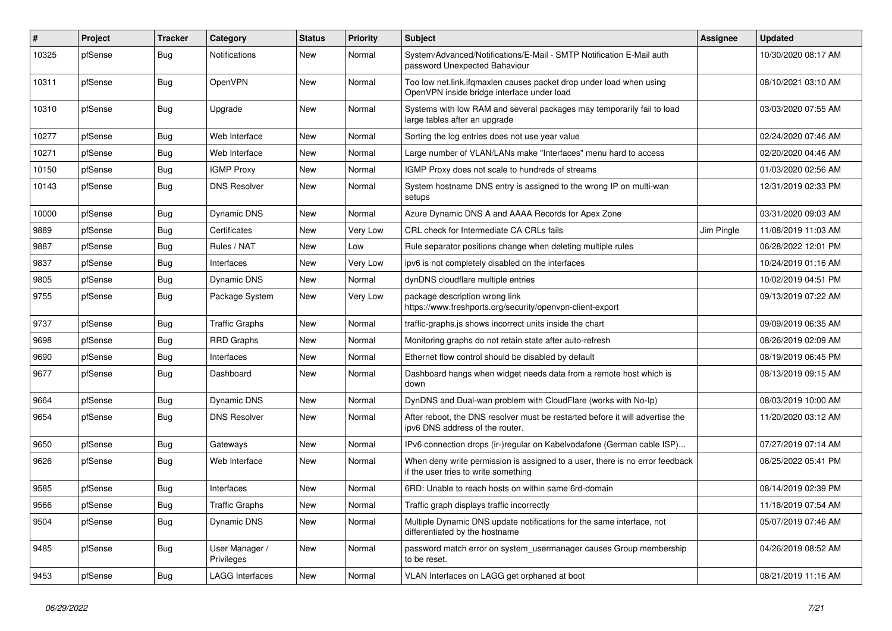| $\pmb{\#}$ | Project | <b>Tracker</b> | Category                     | <b>Status</b> | <b>Priority</b> | <b>Subject</b>                                                                                                       | <b>Assignee</b> | <b>Updated</b>      |
|------------|---------|----------------|------------------------------|---------------|-----------------|----------------------------------------------------------------------------------------------------------------------|-----------------|---------------------|
| 10325      | pfSense | Bug            | <b>Notifications</b>         | New           | Normal          | System/Advanced/Notifications/E-Mail - SMTP Notification E-Mail auth<br>password Unexpected Bahaviour                |                 | 10/30/2020 08:17 AM |
| 10311      | pfSense | Bug            | OpenVPN                      | <b>New</b>    | Normal          | Too low net.link.ifqmaxlen causes packet drop under load when using<br>OpenVPN inside bridge interface under load    |                 | 08/10/2021 03:10 AM |
| 10310      | pfSense | Bug            | Upgrade                      | <b>New</b>    | Normal          | Systems with low RAM and several packages may temporarily fail to load<br>large tables after an upgrade              |                 | 03/03/2020 07:55 AM |
| 10277      | pfSense | Bug            | Web Interface                | New           | Normal          | Sorting the log entries does not use year value                                                                      |                 | 02/24/2020 07:46 AM |
| 10271      | pfSense | <b>Bug</b>     | Web Interface                | New           | Normal          | Large number of VLAN/LANs make "Interfaces" menu hard to access                                                      |                 | 02/20/2020 04:46 AM |
| 10150      | pfSense | Bug            | <b>IGMP Proxy</b>            | New           | Normal          | IGMP Proxy does not scale to hundreds of streams                                                                     |                 | 01/03/2020 02:56 AM |
| 10143      | pfSense | Bug            | <b>DNS Resolver</b>          | New           | Normal          | System hostname DNS entry is assigned to the wrong IP on multi-wan<br>setups                                         |                 | 12/31/2019 02:33 PM |
| 10000      | pfSense | Bug            | Dynamic DNS                  | <b>New</b>    | Normal          | Azure Dynamic DNS A and AAAA Records for Apex Zone                                                                   |                 | 03/31/2020 09:03 AM |
| 9889       | pfSense | Bug            | Certificates                 | <b>New</b>    | Very Low        | CRL check for Intermediate CA CRLs fails                                                                             | Jim Pingle      | 11/08/2019 11:03 AM |
| 9887       | pfSense | Bug            | Rules / NAT                  | New           | Low             | Rule separator positions change when deleting multiple rules                                                         |                 | 06/28/2022 12:01 PM |
| 9837       | pfSense | Bug            | Interfaces                   | New           | Very Low        | ipv6 is not completely disabled on the interfaces                                                                    |                 | 10/24/2019 01:16 AM |
| 9805       | pfSense | Bug            | Dynamic DNS                  | New           | Normal          | dynDNS cloudflare multiple entries                                                                                   |                 | 10/02/2019 04:51 PM |
| 9755       | pfSense | Bug            | Package System               | New           | Very Low        | package description wrong link<br>https://www.freshports.org/security/openvpn-client-export                          |                 | 09/13/2019 07:22 AM |
| 9737       | pfSense | Bug            | <b>Traffic Graphs</b>        | <b>New</b>    | Normal          | traffic-graphs is shows incorrect units inside the chart                                                             |                 | 09/09/2019 06:35 AM |
| 9698       | pfSense | Bug            | <b>RRD Graphs</b>            | New           | Normal          | Monitoring graphs do not retain state after auto-refresh                                                             |                 | 08/26/2019 02:09 AM |
| 9690       | pfSense | Bug            | Interfaces                   | <b>New</b>    | Normal          | Ethernet flow control should be disabled by default                                                                  |                 | 08/19/2019 06:45 PM |
| 9677       | pfSense | <b>Bug</b>     | Dashboard                    | New           | Normal          | Dashboard hangs when widget needs data from a remote host which is<br>down                                           |                 | 08/13/2019 09:15 AM |
| 9664       | pfSense | Bug            | <b>Dynamic DNS</b>           | <b>New</b>    | Normal          | DynDNS and Dual-wan problem with CloudFlare (works with No-Ip)                                                       |                 | 08/03/2019 10:00 AM |
| 9654       | pfSense | Bug            | <b>DNS Resolver</b>          | <b>New</b>    | Normal          | After reboot, the DNS resolver must be restarted before it will advertise the<br>ipv6 DNS address of the router.     |                 | 11/20/2020 03:12 AM |
| 9650       | pfSense | Bug            | Gateways                     | New           | Normal          | IPv6 connection drops (ir-)regular on Kabelvodafone (German cable ISP)                                               |                 | 07/27/2019 07:14 AM |
| 9626       | pfSense | Bug            | Web Interface                | New           | Normal          | When deny write permission is assigned to a user, there is no error feedback<br>if the user tries to write something |                 | 06/25/2022 05:41 PM |
| 9585       | pfSense | Bug            | Interfaces                   | New           | Normal          | 6RD: Unable to reach hosts on within same 6rd-domain                                                                 |                 | 08/14/2019 02:39 PM |
| 9566       | pfSense | Bug            | <b>Traffic Graphs</b>        | New           | Normal          | Traffic graph displays traffic incorrectly                                                                           |                 | 11/18/2019 07:54 AM |
| 9504       | pfSense | <b>Bug</b>     | Dynamic DNS                  | New           | Normal          | Multiple Dynamic DNS update notifications for the same interface, not<br>differentiated by the hostname              |                 | 05/07/2019 07:46 AM |
| 9485       | pfSense | <b>Bug</b>     | User Manager /<br>Privileges | New           | Normal          | password match error on system_usermanager causes Group membership<br>to be reset.                                   |                 | 04/26/2019 08:52 AM |
| 9453       | pfSense | <b>Bug</b>     | <b>LAGG Interfaces</b>       | New           | Normal          | VLAN Interfaces on LAGG get orphaned at boot                                                                         |                 | 08/21/2019 11:16 AM |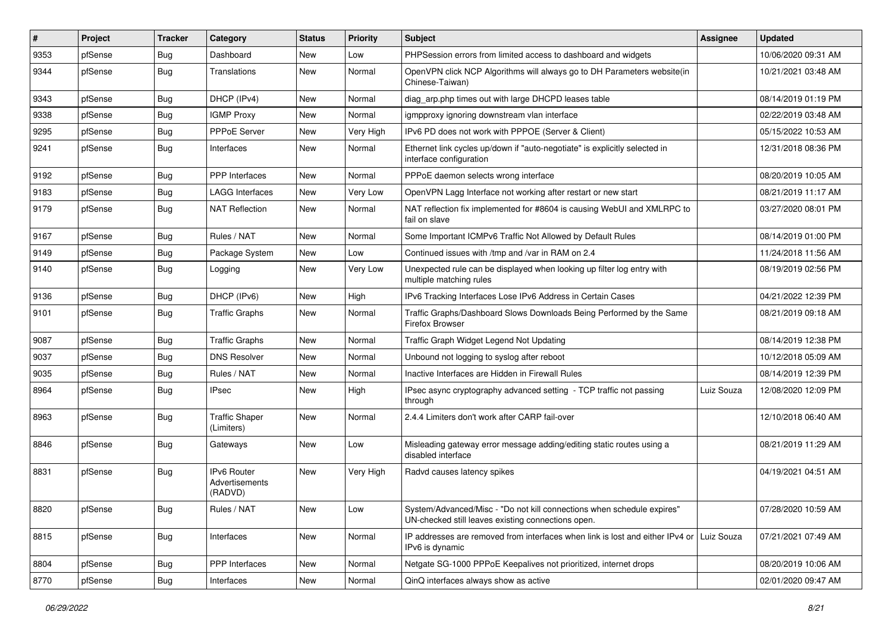| $\vert$ # | Project | <b>Tracker</b> | Category                                 | <b>Status</b> | <b>Priority</b> | <b>Subject</b>                                                                                                               | Assignee   | <b>Updated</b>      |
|-----------|---------|----------------|------------------------------------------|---------------|-----------------|------------------------------------------------------------------------------------------------------------------------------|------------|---------------------|
| 9353      | pfSense | Bug            | Dashboard                                | New           | Low             | PHPSession errors from limited access to dashboard and widgets                                                               |            | 10/06/2020 09:31 AM |
| 9344      | pfSense | Bug            | Translations                             | New           | Normal          | OpenVPN click NCP Algorithms will always go to DH Parameters website(in<br>Chinese-Taiwan)                                   |            | 10/21/2021 03:48 AM |
| 9343      | pfSense | Bug            | DHCP (IPv4)                              | <b>New</b>    | Normal          | diag_arp.php times out with large DHCPD leases table                                                                         |            | 08/14/2019 01:19 PM |
| 9338      | pfSense | Bug            | <b>IGMP Proxy</b>                        | New           | Normal          | igmpproxy ignoring downstream vlan interface                                                                                 |            | 02/22/2019 03:48 AM |
| 9295      | pfSense | Bug            | <b>PPPoE Server</b>                      | New           | Very High       | IPv6 PD does not work with PPPOE (Server & Client)                                                                           |            | 05/15/2022 10:53 AM |
| 9241      | pfSense | Bug            | Interfaces                               | New           | Normal          | Ethernet link cycles up/down if "auto-negotiate" is explicitly selected in<br>interface configuration                        |            | 12/31/2018 08:36 PM |
| 9192      | pfSense | Bug            | PPP Interfaces                           | New           | Normal          | PPPoE daemon selects wrong interface                                                                                         |            | 08/20/2019 10:05 AM |
| 9183      | pfSense | Bug            | LAGG Interfaces                          | New           | Very Low        | OpenVPN Lagg Interface not working after restart or new start                                                                |            | 08/21/2019 11:17 AM |
| 9179      | pfSense | Bug            | <b>NAT Reflection</b>                    | New           | Normal          | NAT reflection fix implemented for #8604 is causing WebUI and XMLRPC to<br>fail on slave                                     |            | 03/27/2020 08:01 PM |
| 9167      | pfSense | <b>Bug</b>     | Rules / NAT                              | New           | Normal          | Some Important ICMPv6 Traffic Not Allowed by Default Rules                                                                   |            | 08/14/2019 01:00 PM |
| 9149      | pfSense | Bug            | Package System                           | New           | Low             | Continued issues with /tmp and /var in RAM on 2.4                                                                            |            | 11/24/2018 11:56 AM |
| 9140      | pfSense | Bug            | Logging                                  | New           | Very Low        | Unexpected rule can be displayed when looking up filter log entry with<br>multiple matching rules                            |            | 08/19/2019 02:56 PM |
| 9136      | pfSense | Bug            | DHCP (IPv6)                              | New           | High            | IPv6 Tracking Interfaces Lose IPv6 Address in Certain Cases                                                                  |            | 04/21/2022 12:39 PM |
| 9101      | pfSense | <b>Bug</b>     | <b>Traffic Graphs</b>                    | New           | Normal          | Traffic Graphs/Dashboard Slows Downloads Being Performed by the Same<br><b>Firefox Browser</b>                               |            | 08/21/2019 09:18 AM |
| 9087      | pfSense | Bug            | <b>Traffic Graphs</b>                    | <b>New</b>    | Normal          | Traffic Graph Widget Legend Not Updating                                                                                     |            | 08/14/2019 12:38 PM |
| 9037      | pfSense | Bug            | <b>DNS Resolver</b>                      | New           | Normal          | Unbound not logging to syslog after reboot                                                                                   |            | 10/12/2018 05:09 AM |
| 9035      | pfSense | Bug            | Rules / NAT                              | New           | Normal          | Inactive Interfaces are Hidden in Firewall Rules                                                                             |            | 08/14/2019 12:39 PM |
| 8964      | pfSense | Bug            | <b>IPsec</b>                             | New           | High            | IPsec async cryptography advanced setting - TCP traffic not passing<br>through                                               | Luiz Souza | 12/08/2020 12:09 PM |
| 8963      | pfSense | Bug            | <b>Traffic Shaper</b><br>(Limiters)      | New           | Normal          | 2.4.4 Limiters don't work after CARP fail-over                                                                               |            | 12/10/2018 06:40 AM |
| 8846      | pfSense | Bug            | Gateways                                 | New           | Low             | Misleading gateway error message adding/editing static routes using a<br>disabled interface                                  |            | 08/21/2019 11:29 AM |
| 8831      | pfSense | Bug            | IPv6 Router<br>Advertisements<br>(RADVD) | New           | Very High       | Radvd causes latency spikes                                                                                                  |            | 04/19/2021 04:51 AM |
| 8820      | pfSense | <b>Bug</b>     | Rules / NAT                              | New           | Low             | System/Advanced/Misc - "Do not kill connections when schedule expires"<br>UN-checked still leaves existing connections open. |            | 07/28/2020 10:59 AM |
| 8815      | pfSense | <b>Bug</b>     | Interfaces                               | New           | Normal          | IP addresses are removed from interfaces when link is lost and either IPv4 or Luiz Souza<br>IPv6 is dynamic                  |            | 07/21/2021 07:49 AM |
| 8804      | pfSense | <b>Bug</b>     | <b>PPP</b> Interfaces                    | New           | Normal          | Netgate SG-1000 PPPoE Keepalives not prioritized, internet drops                                                             |            | 08/20/2019 10:06 AM |
| 8770      | pfSense | <b>Bug</b>     | Interfaces                               | New           | Normal          | QinQ interfaces always show as active                                                                                        |            | 02/01/2020 09:47 AM |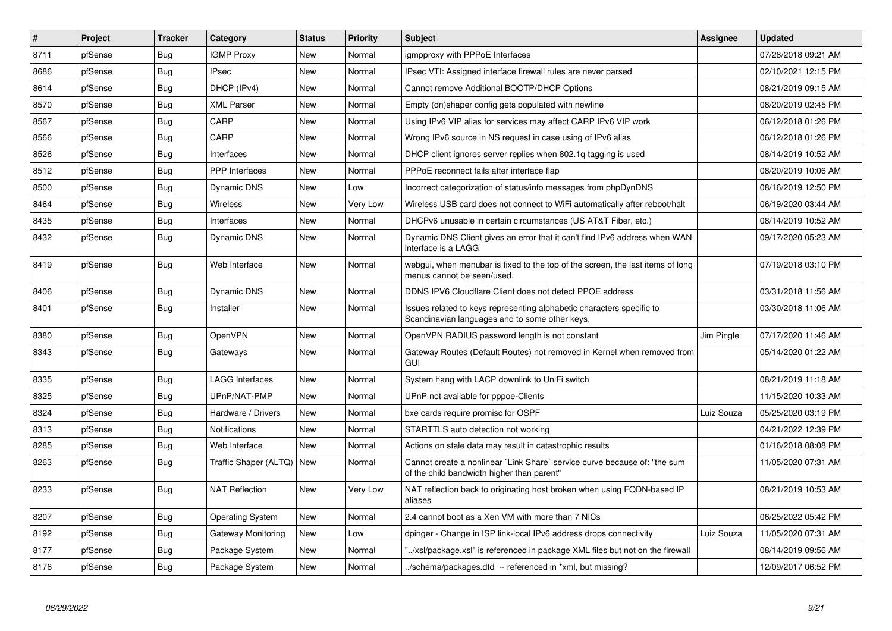| $\vert$ # | Project | <b>Tracker</b> | Category                    | <b>Status</b> | <b>Priority</b> | <b>Subject</b>                                                                                                          | <b>Assignee</b> | <b>Updated</b>      |
|-----------|---------|----------------|-----------------------------|---------------|-----------------|-------------------------------------------------------------------------------------------------------------------------|-----------------|---------------------|
| 8711      | pfSense | Bug            | <b>IGMP Proxy</b>           | New           | Normal          | igmpproxy with PPPoE Interfaces                                                                                         |                 | 07/28/2018 09:21 AM |
| 8686      | pfSense | <b>Bug</b>     | <b>IPsec</b>                | New           | Normal          | IPsec VTI: Assigned interface firewall rules are never parsed                                                           |                 | 02/10/2021 12:15 PM |
| 8614      | pfSense | Bug            | DHCP (IPv4)                 | New           | Normal          | Cannot remove Additional BOOTP/DHCP Options                                                                             |                 | 08/21/2019 09:15 AM |
| 8570      | pfSense | <b>Bug</b>     | <b>XML Parser</b>           | New           | Normal          | Empty (dn)shaper config gets populated with newline                                                                     |                 | 08/20/2019 02:45 PM |
| 8567      | pfSense | Bug            | CARP                        | New           | Normal          | Using IPv6 VIP alias for services may affect CARP IPv6 VIP work                                                         |                 | 06/12/2018 01:26 PM |
| 8566      | pfSense | Bug            | CARP                        | New           | Normal          | Wrong IPv6 source in NS request in case using of IPv6 alias                                                             |                 | 06/12/2018 01:26 PM |
| 8526      | pfSense | Bug            | Interfaces                  | New           | Normal          | DHCP client ignores server replies when 802.1q tagging is used                                                          |                 | 08/14/2019 10:52 AM |
| 8512      | pfSense | <b>Bug</b>     | <b>PPP</b> Interfaces       | New           | Normal          | PPPoE reconnect fails after interface flap                                                                              |                 | 08/20/2019 10:06 AM |
| 8500      | pfSense | Bug            | Dynamic DNS                 | New           | Low             | Incorrect categorization of status/info messages from phpDynDNS                                                         |                 | 08/16/2019 12:50 PM |
| 8464      | pfSense | <b>Bug</b>     | Wireless                    | New           | Very Low        | Wireless USB card does not connect to WiFi automatically after reboot/halt                                              |                 | 06/19/2020 03:44 AM |
| 8435      | pfSense | <b>Bug</b>     | Interfaces                  | New           | Normal          | DHCPv6 unusable in certain circumstances (US AT&T Fiber, etc.)                                                          |                 | 08/14/2019 10:52 AM |
| 8432      | pfSense | <b>Bug</b>     | <b>Dynamic DNS</b>          | New           | Normal          | Dynamic DNS Client gives an error that it can't find IPv6 address when WAN<br>interface is a LAGG                       |                 | 09/17/2020 05:23 AM |
| 8419      | pfSense | Bug            | Web Interface               | New           | Normal          | webgui, when menubar is fixed to the top of the screen, the last items of long<br>menus cannot be seen/used.            |                 | 07/19/2018 03:10 PM |
| 8406      | pfSense | Bug            | Dynamic DNS                 | New           | Normal          | DDNS IPV6 Cloudflare Client does not detect PPOE address                                                                |                 | 03/31/2018 11:56 AM |
| 8401      | pfSense | <b>Bug</b>     | Installer                   | New           | Normal          | Issues related to keys representing alphabetic characters specific to<br>Scandinavian languages and to some other keys. |                 | 03/30/2018 11:06 AM |
| 8380      | pfSense | <b>Bug</b>     | OpenVPN                     | New           | Normal          | OpenVPN RADIUS password length is not constant                                                                          | Jim Pingle      | 07/17/2020 11:46 AM |
| 8343      | pfSense | Bug            | Gateways                    | New           | Normal          | Gateway Routes (Default Routes) not removed in Kernel when removed from<br>GUI                                          |                 | 05/14/2020 01:22 AM |
| 8335      | pfSense | Bug            | LAGG Interfaces             | New           | Normal          | System hang with LACP downlink to UniFi switch                                                                          |                 | 08/21/2019 11:18 AM |
| 8325      | pfSense | <b>Bug</b>     | UPnP/NAT-PMP                | New           | Normal          | UPnP not available for pppoe-Clients                                                                                    |                 | 11/15/2020 10:33 AM |
| 8324      | pfSense | Bug            | Hardware / Drivers          | New           | Normal          | bxe cards require promisc for OSPF                                                                                      | Luiz Souza      | 05/25/2020 03:19 PM |
| 8313      | pfSense | <b>Bug</b>     | Notifications               | New           | Normal          | STARTTLS auto detection not working                                                                                     |                 | 04/21/2022 12:39 PM |
| 8285      | pfSense | <b>Bug</b>     | Web Interface               | New           | Normal          | Actions on stale data may result in catastrophic results                                                                |                 | 01/16/2018 08:08 PM |
| 8263      | pfSense | <b>Bug</b>     | Traffic Shaper (ALTQ)   New |               | Normal          | Cannot create a nonlinear `Link Share` service curve because of: "the sum<br>of the child bandwidth higher than parent" |                 | 11/05/2020 07:31 AM |
| 8233      | pfSense | <b>Bug</b>     | <b>NAT Reflection</b>       | New           | Very Low        | NAT reflection back to originating host broken when using FQDN-based IP<br>aliases                                      |                 | 08/21/2019 10:53 AM |
| 8207      | pfSense | Bug            | <b>Operating System</b>     | New           | Normal          | 2.4 cannot boot as a Xen VM with more than 7 NICs                                                                       |                 | 06/25/2022 05:42 PM |
| 8192      | pfSense | <b>Bug</b>     | Gateway Monitoring          | New           | Low             | dpinger - Change in ISP link-local IPv6 address drops connectivity                                                      | Luiz Souza      | 11/05/2020 07:31 AM |
| 8177      | pfSense | Bug            | Package System              | New           | Normal          | /xsl/package.xsl" is referenced in package XML files but not on the firewall                                            |                 | 08/14/2019 09:56 AM |
| 8176      | pfSense | Bug            | Package System              | New           | Normal          | ./schema/packages.dtd -- referenced in *xml, but missing?                                                               |                 | 12/09/2017 06:52 PM |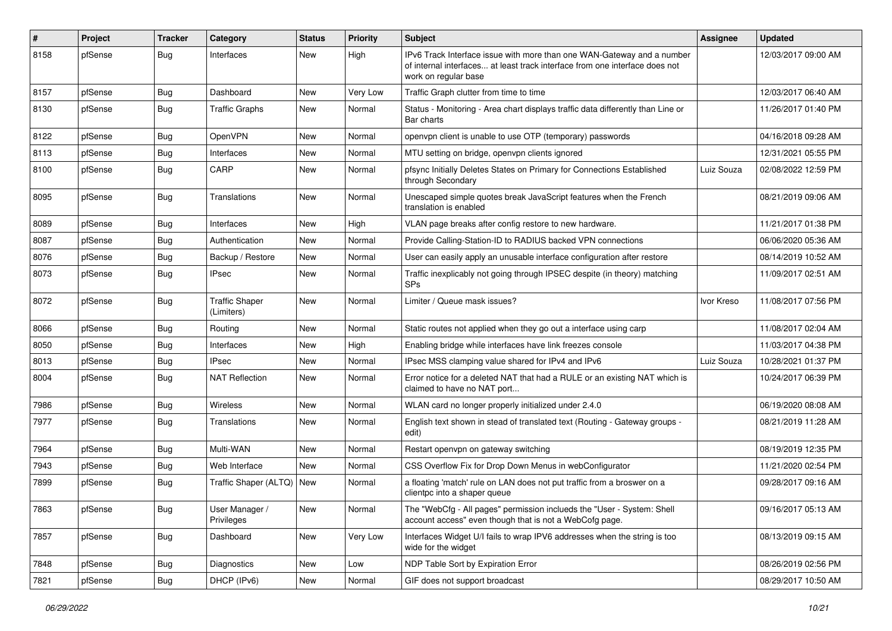| $\vert$ # | Project | <b>Tracker</b> | Category                            | <b>Status</b> | <b>Priority</b> | <b>Subject</b>                                                                                                                                                                | <b>Assignee</b> | <b>Updated</b>      |
|-----------|---------|----------------|-------------------------------------|---------------|-----------------|-------------------------------------------------------------------------------------------------------------------------------------------------------------------------------|-----------------|---------------------|
| 8158      | pfSense | Bug            | Interfaces                          | New           | High            | IPv6 Track Interface issue with more than one WAN-Gateway and a number<br>of internal interfaces at least track interface from one interface does not<br>work on regular base |                 | 12/03/2017 09:00 AM |
| 8157      | pfSense | Bug            | Dashboard                           | New           | Very Low        | Traffic Graph clutter from time to time                                                                                                                                       |                 | 12/03/2017 06:40 AM |
| 8130      | pfSense | Bug            | <b>Traffic Graphs</b>               | New           | Normal          | Status - Monitoring - Area chart displays traffic data differently than Line or<br>Bar charts                                                                                 |                 | 11/26/2017 01:40 PM |
| 8122      | pfSense | Bug            | OpenVPN                             | New           | Normal          | openvpn client is unable to use OTP (temporary) passwords                                                                                                                     |                 | 04/16/2018 09:28 AM |
| 8113      | pfSense | Bug            | Interfaces                          | New           | Normal          | MTU setting on bridge, openvpn clients ignored                                                                                                                                |                 | 12/31/2021 05:55 PM |
| 8100      | pfSense | <b>Bug</b>     | CARP                                | New           | Normal          | pfsync Initially Deletes States on Primary for Connections Established<br>through Secondary                                                                                   | Luiz Souza      | 02/08/2022 12:59 PM |
| 8095      | pfSense | Bug            | Translations                        | New           | Normal          | Unescaped simple quotes break JavaScript features when the French<br>translation is enabled                                                                                   |                 | 08/21/2019 09:06 AM |
| 8089      | pfSense | <b>Bug</b>     | Interfaces                          | New           | High            | VLAN page breaks after config restore to new hardware.                                                                                                                        |                 | 11/21/2017 01:38 PM |
| 8087      | pfSense | Bug            | Authentication                      | New           | Normal          | Provide Calling-Station-ID to RADIUS backed VPN connections                                                                                                                   |                 | 06/06/2020 05:36 AM |
| 8076      | pfSense | <b>Bug</b>     | Backup / Restore                    | New           | Normal          | User can easily apply an unusable interface configuration after restore                                                                                                       |                 | 08/14/2019 10:52 AM |
| 8073      | pfSense | Bug            | <b>IPsec</b>                        | New           | Normal          | Traffic inexplicably not going through IPSEC despite (in theory) matching<br><b>SPs</b>                                                                                       |                 | 11/09/2017 02:51 AM |
| 8072      | pfSense | Bug            | <b>Traffic Shaper</b><br>(Limiters) | New           | Normal          | Limiter / Queue mask issues?                                                                                                                                                  | Ivor Kreso      | 11/08/2017 07:56 PM |
| 8066      | pfSense | <b>Bug</b>     | Routing                             | New           | Normal          | Static routes not applied when they go out a interface using carp                                                                                                             |                 | 11/08/2017 02:04 AM |
| 8050      | pfSense | Bug            | Interfaces                          | New           | High            | Enabling bridge while interfaces have link freezes console                                                                                                                    |                 | 11/03/2017 04:38 PM |
| 8013      | pfSense | Bug            | <b>IPsec</b>                        | New           | Normal          | IPsec MSS clamping value shared for IPv4 and IPv6                                                                                                                             | Luiz Souza      | 10/28/2021 01:37 PM |
| 8004      | pfSense | Bug            | <b>NAT Reflection</b>               | New           | Normal          | Error notice for a deleted NAT that had a RULE or an existing NAT which is<br>claimed to have no NAT port                                                                     |                 | 10/24/2017 06:39 PM |
| 7986      | pfSense | Bug            | <b>Wireless</b>                     | New           | Normal          | WLAN card no longer properly initialized under 2.4.0                                                                                                                          |                 | 06/19/2020 08:08 AM |
| 7977      | pfSense | Bug            | Translations                        | New           | Normal          | English text shown in stead of translated text (Routing - Gateway groups -<br>edit)                                                                                           |                 | 08/21/2019 11:28 AM |
| 7964      | pfSense | Bug            | Multi-WAN                           | New           | Normal          | Restart openvpn on gateway switching                                                                                                                                          |                 | 08/19/2019 12:35 PM |
| 7943      | pfSense | <b>Bug</b>     | Web Interface                       | New           | Normal          | CSS Overflow Fix for Drop Down Menus in webConfigurator                                                                                                                       |                 | 11/21/2020 02:54 PM |
| 7899      | pfSense | Bug            | Traffic Shaper (ALTQ)               | New           | Normal          | a floating 'match' rule on LAN does not put traffic from a broswer on a<br>clientpc into a shaper queue                                                                       |                 | 09/28/2017 09:16 AM |
| 7863      | pfSense | <b>Bug</b>     | User Manager /<br>Privileges        | New           | Normal          | The "WebCfg - All pages" permission inclueds the "User - System: Shell<br>account access" even though that is not a WebCofg page.                                             |                 | 09/16/2017 05:13 AM |
| 7857      | pfSense | <b>Bug</b>     | Dashboard                           | New           | Very Low        | Interfaces Widget U/I fails to wrap IPV6 addresses when the string is too<br>wide for the widget                                                                              |                 | 08/13/2019 09:15 AM |
| 7848      | pfSense | Bug            | Diagnostics                         | New           | Low             | NDP Table Sort by Expiration Error                                                                                                                                            |                 | 08/26/2019 02:56 PM |
| 7821      | pfSense | <b>Bug</b>     | DHCP (IPv6)                         | New           | Normal          | GIF does not support broadcast                                                                                                                                                |                 | 08/29/2017 10:50 AM |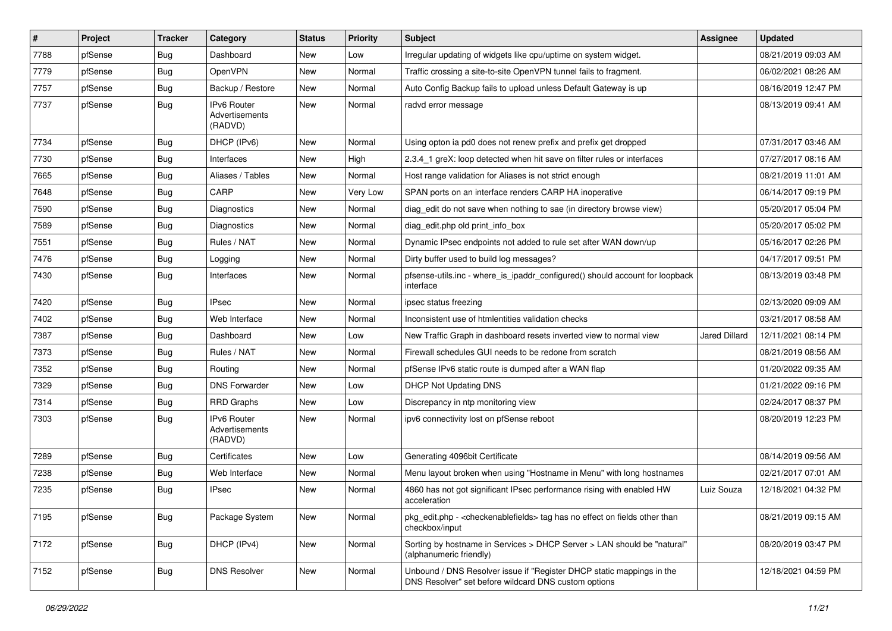| $\vert$ # | Project | <b>Tracker</b> | Category                                 | <b>Status</b> | <b>Priority</b> | <b>Subject</b>                                                                                                                | <b>Assignee</b> | <b>Updated</b>      |
|-----------|---------|----------------|------------------------------------------|---------------|-----------------|-------------------------------------------------------------------------------------------------------------------------------|-----------------|---------------------|
| 7788      | pfSense | Bug            | Dashboard                                | New           | Low             | Irregular updating of widgets like cpu/uptime on system widget.                                                               |                 | 08/21/2019 09:03 AM |
| 7779      | pfSense | Bug            | OpenVPN                                  | New           | Normal          | Traffic crossing a site-to-site OpenVPN tunnel fails to fragment.                                                             |                 | 06/02/2021 08:26 AM |
| 7757      | pfSense | Bug            | Backup / Restore                         | New           | Normal          | Auto Config Backup fails to upload unless Default Gateway is up                                                               |                 | 08/16/2019 12:47 PM |
| 7737      | pfSense | <b>Bug</b>     | IPv6 Router<br>Advertisements<br>(RADVD) | New           | Normal          | radvd error message                                                                                                           |                 | 08/13/2019 09:41 AM |
| 7734      | pfSense | Bug            | DHCP (IPv6)                              | New           | Normal          | Using opton ia pd0 does not renew prefix and prefix get dropped                                                               |                 | 07/31/2017 03:46 AM |
| 7730      | pfSense | Bug            | Interfaces                               | New           | High            | 2.3.4_1 greX: loop detected when hit save on filter rules or interfaces                                                       |                 | 07/27/2017 08:16 AM |
| 7665      | pfSense | Bug            | Aliases / Tables                         | New           | Normal          | Host range validation for Aliases is not strict enough                                                                        |                 | 08/21/2019 11:01 AM |
| 7648      | pfSense | Bug            | CARP                                     | New           | Very Low        | SPAN ports on an interface renders CARP HA inoperative                                                                        |                 | 06/14/2017 09:19 PM |
| 7590      | pfSense | Bug            | Diagnostics                              | New           | Normal          | diag edit do not save when nothing to sae (in directory browse view)                                                          |                 | 05/20/2017 05:04 PM |
| 7589      | pfSense | Bug            | Diagnostics                              | New           | Normal          | diag_edit.php old print_info_box                                                                                              |                 | 05/20/2017 05:02 PM |
| 7551      | pfSense | Bug            | Rules / NAT                              | New           | Normal          | Dynamic IPsec endpoints not added to rule set after WAN down/up                                                               |                 | 05/16/2017 02:26 PM |
| 7476      | pfSense | Bug            | Logging                                  | New           | Normal          | Dirty buffer used to build log messages?                                                                                      |                 | 04/17/2017 09:51 PM |
| 7430      | pfSense | <b>Bug</b>     | Interfaces                               | New           | Normal          | pfsense-utils.inc - where_is_ipaddr_configured() should account for loopback<br>interface                                     |                 | 08/13/2019 03:48 PM |
| 7420      | pfSense | Bug            | <b>IPsec</b>                             | New           | Normal          | ipsec status freezing                                                                                                         |                 | 02/13/2020 09:09 AM |
| 7402      | pfSense | Bug            | Web Interface                            | New           | Normal          | Inconsistent use of htmlentities validation checks                                                                            |                 | 03/21/2017 08:58 AM |
| 7387      | pfSense | Bug            | Dashboard                                | New           | Low             | New Traffic Graph in dashboard resets inverted view to normal view                                                            | Jared Dillard   | 12/11/2021 08:14 PM |
| 7373      | pfSense | Bug            | Rules / NAT                              | New           | Normal          | Firewall schedules GUI needs to be redone from scratch                                                                        |                 | 08/21/2019 08:56 AM |
| 7352      | pfSense | <b>Bug</b>     | Routing                                  | New           | Normal          | pfSense IPv6 static route is dumped after a WAN flap                                                                          |                 | 01/20/2022 09:35 AM |
| 7329      | pfSense | Bug            | <b>DNS Forwarder</b>                     | New           | Low             | <b>DHCP Not Updating DNS</b>                                                                                                  |                 | 01/21/2022 09:16 PM |
| 7314      | pfSense | Bug            | <b>RRD Graphs</b>                        | New           | Low             | Discrepancy in ntp monitoring view                                                                                            |                 | 02/24/2017 08:37 PM |
| 7303      | pfSense | Bug            | IPv6 Router<br>Advertisements<br>(RADVD) | New           | Normal          | ipv6 connectivity lost on pfSense reboot                                                                                      |                 | 08/20/2019 12:23 PM |
| 7289      | pfSense | Bug            | Certificates                             | New           | Low             | Generating 4096bit Certificate                                                                                                |                 | 08/14/2019 09:56 AM |
| 7238      | pfSense | Bug            | Web Interface                            | New           | Normal          | Menu layout broken when using "Hostname in Menu" with long hostnames                                                          |                 | 02/21/2017 07:01 AM |
| 7235      | pfSense | Bug            | <b>IPsec</b>                             | New           | Normal          | 4860 has not got significant IPsec performance rising with enabled HW<br>acceleration                                         | Luiz Souza      | 12/18/2021 04:32 PM |
| 7195      | pfSense | <b>Bug</b>     | Package System                           | New           | Normal          | pkg edit.php - <checkenable fields=""> tag has no effect on fields other than<br/>checkbox/input</checkenable>                |                 | 08/21/2019 09:15 AM |
| 7172      | pfSense | <b>Bug</b>     | DHCP (IPv4)                              | New           | Normal          | Sorting by hostname in Services > DHCP Server > LAN should be "natural"<br>(alphanumeric friendly)                            |                 | 08/20/2019 03:47 PM |
| 7152      | pfSense | Bug            | <b>DNS Resolver</b>                      | New           | Normal          | Unbound / DNS Resolver issue if "Register DHCP static mappings in the<br>DNS Resolver" set before wildcard DNS custom options |                 | 12/18/2021 04:59 PM |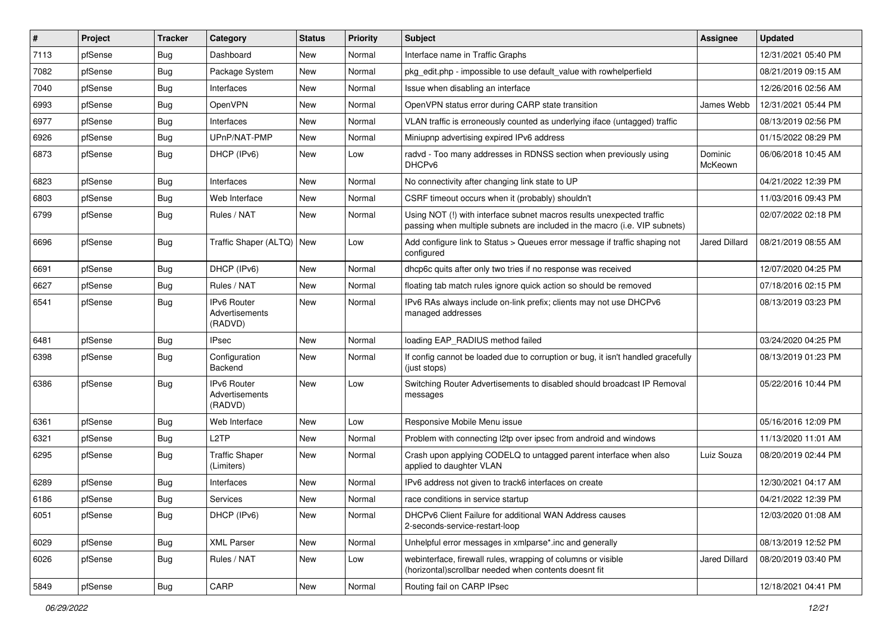| #    | Project | Tracker    | Category                                        | <b>Status</b> | <b>Priority</b> | <b>Subject</b>                                                                                                                                      | Assignee             | <b>Updated</b>      |
|------|---------|------------|-------------------------------------------------|---------------|-----------------|-----------------------------------------------------------------------------------------------------------------------------------------------------|----------------------|---------------------|
| 7113 | pfSense | <b>Bug</b> | Dashboard                                       | New           | Normal          | Interface name in Traffic Graphs                                                                                                                    |                      | 12/31/2021 05:40 PM |
| 7082 | pfSense | Bug        | Package System                                  | New           | Normal          | pkg edit.php - impossible to use default value with rowhelperfield                                                                                  |                      | 08/21/2019 09:15 AM |
| 7040 | pfSense | Bug        | Interfaces                                      | New           | Normal          | Issue when disabling an interface                                                                                                                   |                      | 12/26/2016 02:56 AM |
| 6993 | pfSense | Bug        | OpenVPN                                         | New           | Normal          | OpenVPN status error during CARP state transition                                                                                                   | James Webb           | 12/31/2021 05:44 PM |
| 6977 | pfSense | Bug        | Interfaces                                      | New           | Normal          | VLAN traffic is erroneously counted as underlying iface (untagged) traffic                                                                          |                      | 08/13/2019 02:56 PM |
| 6926 | pfSense | <b>Bug</b> | UPnP/NAT-PMP                                    | New           | Normal          | Miniupnp advertising expired IPv6 address                                                                                                           |                      | 01/15/2022 08:29 PM |
| 6873 | pfSense | <b>Bug</b> | DHCP (IPv6)                                     | New           | Low             | radvd - Too many addresses in RDNSS section when previously using<br>DHCP <sub>v6</sub>                                                             | Dominic<br>McKeown   | 06/06/2018 10:45 AM |
| 6823 | pfSense | <b>Bug</b> | Interfaces                                      | New           | Normal          | No connectivity after changing link state to UP                                                                                                     |                      | 04/21/2022 12:39 PM |
| 6803 | pfSense | Bug        | Web Interface                                   | New           | Normal          | CSRF timeout occurs when it (probably) shouldn't                                                                                                    |                      | 11/03/2016 09:43 PM |
| 6799 | pfSense | Bug        | Rules / NAT                                     | New           | Normal          | Using NOT (!) with interface subnet macros results unexpected traffic<br>passing when multiple subnets are included in the macro (i.e. VIP subnets) |                      | 02/07/2022 02:18 PM |
| 6696 | pfSense | Bug        | Traffic Shaper (ALTQ) New                       |               | Low             | Add configure link to Status > Queues error message if traffic shaping not<br>configured                                                            | <b>Jared Dillard</b> | 08/21/2019 08:55 AM |
| 6691 | pfSense | Bug        | DHCP (IPv6)                                     | New           | Normal          | dhcp6c quits after only two tries if no response was received                                                                                       |                      | 12/07/2020 04:25 PM |
| 6627 | pfSense | Bug        | Rules / NAT                                     | New           | Normal          | floating tab match rules ignore quick action so should be removed                                                                                   |                      | 07/18/2016 02:15 PM |
| 6541 | pfSense | <b>Bug</b> | <b>IPv6 Router</b><br>Advertisements<br>(RADVD) | New           | Normal          | IPv6 RAs always include on-link prefix; clients may not use DHCPv6<br>managed addresses                                                             |                      | 08/13/2019 03:23 PM |
| 6481 | pfSense | Bug        | <b>IPsec</b>                                    | New           | Normal          | loading EAP_RADIUS method failed                                                                                                                    |                      | 03/24/2020 04:25 PM |
| 6398 | pfSense | Bug        | Configuration<br>Backend                        | New           | Normal          | If config cannot be loaded due to corruption or bug, it isn't handled gracefully<br>(just stops)                                                    |                      | 08/13/2019 01:23 PM |
| 6386 | pfSense | Bug        | <b>IPv6 Router</b><br>Advertisements<br>(RADVD) | New           | Low             | Switching Router Advertisements to disabled should broadcast IP Removal<br>messages                                                                 |                      | 05/22/2016 10:44 PM |
| 6361 | pfSense | Bug        | Web Interface                                   | New           | Low             | Responsive Mobile Menu issue                                                                                                                        |                      | 05/16/2016 12:09 PM |
| 6321 | pfSense | Bug        | L <sub>2</sub> TP                               | New           | Normal          | Problem with connecting I2tp over ipsec from android and windows                                                                                    |                      | 11/13/2020 11:01 AM |
| 6295 | pfSense | <b>Bug</b> | <b>Traffic Shaper</b><br>(Limiters)             | New           | Normal          | Crash upon applying CODELQ to untagged parent interface when also<br>applied to daughter VLAN                                                       | Luiz Souza           | 08/20/2019 02:44 PM |
| 6289 | pfSense | Bug        | Interfaces                                      | New           | Normal          | IPv6 address not given to track6 interfaces on create                                                                                               |                      | 12/30/2021 04:17 AM |
| 6186 | pfSense | Bug        | Services                                        | New           | Normal          | race conditions in service startup                                                                                                                  |                      | 04/21/2022 12:39 PM |
| 6051 | pfSense | <b>Bug</b> | DHCP (IPv6)                                     | New           | Normal          | DHCPv6 Client Failure for additional WAN Address causes<br>2-seconds-service-restart-loop                                                           |                      | 12/03/2020 01:08 AM |
| 6029 | pfSense | <b>Bug</b> | <b>XML Parser</b>                               | New           | Normal          | Unhelpful error messages in xmlparse*.inc and generally                                                                                             |                      | 08/13/2019 12:52 PM |
| 6026 | pfSense | <b>Bug</b> | Rules / NAT                                     | New           | Low             | webinterface, firewall rules, wrapping of columns or visible<br>(horizontal) scrollbar needed when contents doesnt fit                              | Jared Dillard        | 08/20/2019 03:40 PM |
| 5849 | pfSense | <b>Bug</b> | CARP                                            | New           | Normal          | Routing fail on CARP IPsec                                                                                                                          |                      | 12/18/2021 04:41 PM |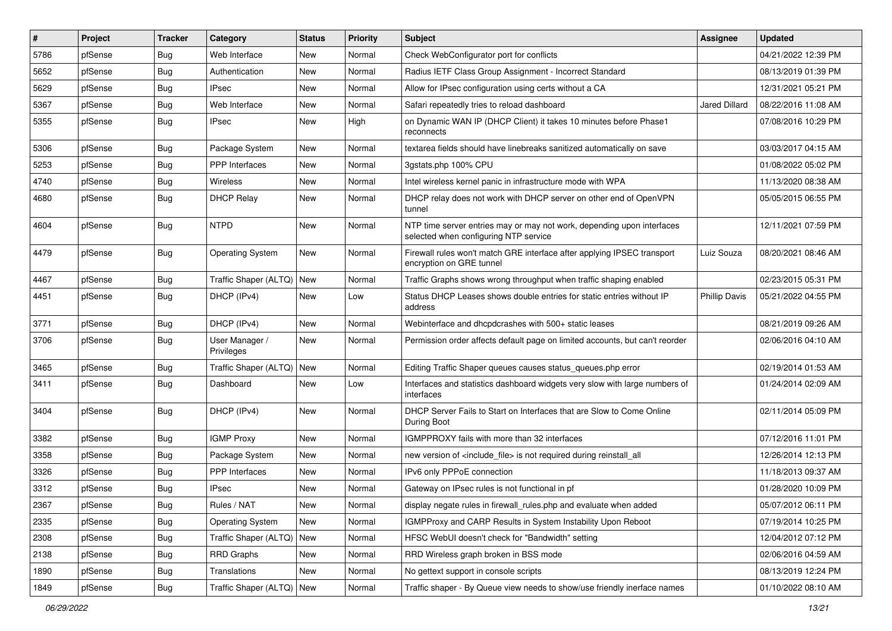| #    | Project | <b>Tracker</b> | Category                     | <b>Status</b> | <b>Priority</b> | <b>Subject</b>                                                                                                  | <b>Assignee</b>      | <b>Updated</b>      |
|------|---------|----------------|------------------------------|---------------|-----------------|-----------------------------------------------------------------------------------------------------------------|----------------------|---------------------|
| 5786 | pfSense | Bug            | Web Interface                | New           | Normal          | Check WebConfigurator port for conflicts                                                                        |                      | 04/21/2022 12:39 PM |
| 5652 | pfSense | Bug            | Authentication               | New           | Normal          | Radius IETF Class Group Assignment - Incorrect Standard                                                         |                      | 08/13/2019 01:39 PM |
| 5629 | pfSense | Bug            | <b>IPsec</b>                 | New           | Normal          | Allow for IPsec configuration using certs without a CA                                                          |                      | 12/31/2021 05:21 PM |
| 5367 | pfSense | <b>Bug</b>     | Web Interface                | New           | Normal          | Safari repeatedly tries to reload dashboard                                                                     | Jared Dillard        | 08/22/2016 11:08 AM |
| 5355 | pfSense | Bug            | <b>IPsec</b>                 | New           | High            | on Dynamic WAN IP (DHCP Client) it takes 10 minutes before Phase1<br>reconnects                                 |                      | 07/08/2016 10:29 PM |
| 5306 | pfSense | Bug            | Package System               | New           | Normal          | textarea fields should have linebreaks sanitized automatically on save                                          |                      | 03/03/2017 04:15 AM |
| 5253 | pfSense | Bug            | PPP Interfaces               | <b>New</b>    | Normal          | 3gstats.php 100% CPU                                                                                            |                      | 01/08/2022 05:02 PM |
| 4740 | pfSense | Bug            | Wireless                     | New           | Normal          | Intel wireless kernel panic in infrastructure mode with WPA                                                     |                      | 11/13/2020 08:38 AM |
| 4680 | pfSense | <b>Bug</b>     | <b>DHCP Relay</b>            | New           | Normal          | DHCP relay does not work with DHCP server on other end of OpenVPN<br>tunnel                                     |                      | 05/05/2015 06:55 PM |
| 4604 | pfSense | Bug            | <b>NTPD</b>                  | New           | Normal          | NTP time server entries may or may not work, depending upon interfaces<br>selected when configuring NTP service |                      | 12/11/2021 07:59 PM |
| 4479 | pfSense | Bug            | <b>Operating System</b>      | New           | Normal          | Firewall rules won't match GRE interface after applying IPSEC transport<br>encryption on GRE tunnel             | Luiz Souza           | 08/20/2021 08:46 AM |
| 4467 | pfSense | <b>Bug</b>     | Traffic Shaper (ALTQ)        | <b>New</b>    | Normal          | Traffic Graphs shows wrong throughput when traffic shaping enabled                                              |                      | 02/23/2015 05:31 PM |
| 4451 | pfSense | Bug            | DHCP (IPv4)                  | New           | Low             | Status DHCP Leases shows double entries for static entries without IP<br>address                                | <b>Phillip Davis</b> | 05/21/2022 04:55 PM |
| 3771 | pfSense | Bug            | DHCP (IPv4)                  | <b>New</b>    | Normal          | Webinterface and dhcpdcrashes with 500+ static leases                                                           |                      | 08/21/2019 09:26 AM |
| 3706 | pfSense | <b>Bug</b>     | User Manager /<br>Privileges | New           | Normal          | Permission order affects default page on limited accounts, but can't reorder                                    |                      | 02/06/2016 04:10 AM |
| 3465 | pfSense | Bug            | Traffic Shaper (ALTQ) New    |               | Normal          | Editing Traffic Shaper queues causes status queues.php error                                                    |                      | 02/19/2014 01:53 AM |
| 3411 | pfSense | Bug            | Dashboard                    | New           | Low             | Interfaces and statistics dashboard widgets very slow with large numbers of<br>interfaces                       |                      | 01/24/2014 02:09 AM |
| 3404 | pfSense | Bug            | DHCP (IPv4)                  | New           | Normal          | DHCP Server Fails to Start on Interfaces that are Slow to Come Online<br>During Boot                            |                      | 02/11/2014 05:09 PM |
| 3382 | pfSense | Bug            | <b>IGMP Proxy</b>            | New           | Normal          | IGMPPROXY fails with more than 32 interfaces                                                                    |                      | 07/12/2016 11:01 PM |
| 3358 | pfSense | <b>Bug</b>     | Package System               | New           | Normal          | new version of <include file=""> is not required during reinstall all</include>                                 |                      | 12/26/2014 12:13 PM |
| 3326 | pfSense | Bug            | <b>PPP</b> Interfaces        | New           | Normal          | IPv6 only PPPoE connection                                                                                      |                      | 11/18/2013 09:37 AM |
| 3312 | pfSense | <b>Bug</b>     | <b>IPsec</b>                 | New           | Normal          | Gateway on IPsec rules is not functional in pf                                                                  |                      | 01/28/2020 10:09 PM |
| 2367 | pfSense | Bug            | Rules / NAT                  | New           | Normal          | display negate rules in firewall_rules.php and evaluate when added                                              |                      | 05/07/2012 06:11 PM |
| 2335 | pfSense | Bug            | <b>Operating System</b>      | New           | Normal          | IGMPProxy and CARP Results in System Instability Upon Reboot                                                    |                      | 07/19/2014 10:25 PM |
| 2308 | pfSense | Bug            | Traffic Shaper (ALTQ) New    |               | Normal          | HFSC WebUI doesn't check for "Bandwidth" setting                                                                |                      | 12/04/2012 07:12 PM |
| 2138 | pfSense | Bug            | RRD Graphs                   | New           | Normal          | RRD Wireless graph broken in BSS mode                                                                           |                      | 02/06/2016 04:59 AM |
| 1890 | pfSense | <b>Bug</b>     | Translations                 | New           | Normal          | No gettext support in console scripts                                                                           |                      | 08/13/2019 12:24 PM |
| 1849 | pfSense | Bug            | Traffic Shaper (ALTQ) New    |               | Normal          | Traffic shaper - By Queue view needs to show/use friendly inerface names                                        |                      | 01/10/2022 08:10 AM |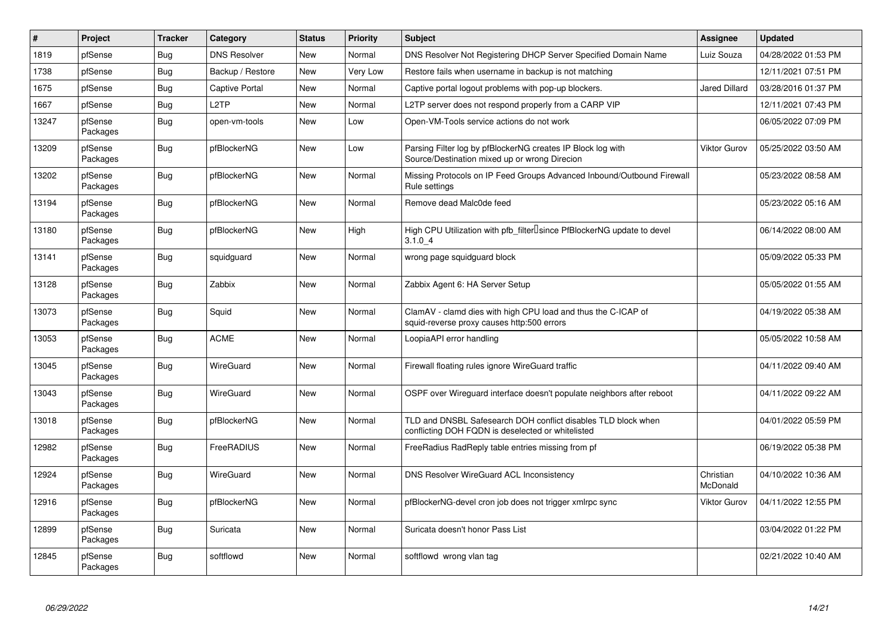| $\vert$ # | Project             | <b>Tracker</b> | Category              | <b>Status</b> | <b>Priority</b> | <b>Subject</b>                                                                                                     | Assignee              | <b>Updated</b>      |
|-----------|---------------------|----------------|-----------------------|---------------|-----------------|--------------------------------------------------------------------------------------------------------------------|-----------------------|---------------------|
| 1819      | pfSense             | <b>Bug</b>     | <b>DNS Resolver</b>   | New           | Normal          | DNS Resolver Not Registering DHCP Server Specified Domain Name                                                     | Luiz Souza            | 04/28/2022 01:53 PM |
| 1738      | pfSense             | Bug            | Backup / Restore      | New           | Very Low        | Restore fails when username in backup is not matching                                                              |                       | 12/11/2021 07:51 PM |
| 1675      | pfSense             | Bug            | <b>Captive Portal</b> | <b>New</b>    | Normal          | Captive portal logout problems with pop-up blockers.                                                               | Jared Dillard         | 03/28/2016 01:37 PM |
| 1667      | pfSense             | Bug            | L <sub>2</sub> TP     | New           | Normal          | L2TP server does not respond properly from a CARP VIP                                                              |                       | 12/11/2021 07:43 PM |
| 13247     | pfSense<br>Packages | Bug            | open-vm-tools         | New           | Low             | Open-VM-Tools service actions do not work                                                                          |                       | 06/05/2022 07:09 PM |
| 13209     | pfSense<br>Packages | Bug            | pfBlockerNG           | <b>New</b>    | Low             | Parsing Filter log by pfBlockerNG creates IP Block log with<br>Source/Destination mixed up or wrong Direcion       | <b>Viktor Gurov</b>   | 05/25/2022 03:50 AM |
| 13202     | pfSense<br>Packages | Bug            | pfBlockerNG           | <b>New</b>    | Normal          | Missing Protocols on IP Feed Groups Advanced Inbound/Outbound Firewall<br>Rule settings                            |                       | 05/23/2022 08:58 AM |
| 13194     | pfSense<br>Packages | Bug            | pfBlockerNG           | New           | Normal          | Remove dead Malc0de feed                                                                                           |                       | 05/23/2022 05:16 AM |
| 13180     | pfSense<br>Packages | Bug            | pfBlockerNG           | <b>New</b>    | High            | High CPU Utilization with pfb_filter <sup>[]</sup> since PfBlockerNG update to devel<br>3.1.04                     |                       | 06/14/2022 08:00 AM |
| 13141     | pfSense<br>Packages | Bug            | squidguard            | New           | Normal          | wrong page squidguard block                                                                                        |                       | 05/09/2022 05:33 PM |
| 13128     | pfSense<br>Packages | Bug            | Zabbix                | New           | Normal          | Zabbix Agent 6: HA Server Setup                                                                                    |                       | 05/05/2022 01:55 AM |
| 13073     | pfSense<br>Packages | <b>Bug</b>     | Squid                 | New           | Normal          | ClamAV - clamd dies with high CPU load and thus the C-ICAP of<br>squid-reverse proxy causes http:500 errors        |                       | 04/19/2022 05:38 AM |
| 13053     | pfSense<br>Packages | Bug            | <b>ACME</b>           | New           | Normal          | LoopiaAPI error handling                                                                                           |                       | 05/05/2022 10:58 AM |
| 13045     | pfSense<br>Packages | Bug            | WireGuard             | New           | Normal          | Firewall floating rules ignore WireGuard traffic                                                                   |                       | 04/11/2022 09:40 AM |
| 13043     | pfSense<br>Packages | Bug            | WireGuard             | New           | Normal          | OSPF over Wireguard interface doesn't populate neighbors after reboot                                              |                       | 04/11/2022 09:22 AM |
| 13018     | pfSense<br>Packages | Bug            | pfBlockerNG           | New           | Normal          | TLD and DNSBL Safesearch DOH conflict disables TLD block when<br>conflicting DOH FQDN is deselected or whitelisted |                       | 04/01/2022 05:59 PM |
| 12982     | pfSense<br>Packages | Bug            | FreeRADIUS            | New           | Normal          | FreeRadius RadReply table entries missing from pf                                                                  |                       | 06/19/2022 05:38 PM |
| 12924     | pfSense<br>Packages | Bug            | WireGuard             | <b>New</b>    | Normal          | DNS Resolver WireGuard ACL Inconsistency                                                                           | Christian<br>McDonald | 04/10/2022 10:36 AM |
| 12916     | pfSense<br>Packages | Bug            | pfBlockerNG           | New           | Normal          | pfBlockerNG-devel cron job does not trigger xmlrpc sync                                                            | <b>Viktor Gurov</b>   | 04/11/2022 12:55 PM |
| 12899     | pfSense<br>Packages | <b>Bug</b>     | Suricata              | New           | Normal          | Suricata doesn't honor Pass List                                                                                   |                       | 03/04/2022 01:22 PM |
| 12845     | pfSense<br>Packages | <b>Bug</b>     | softflowd             | New           | Normal          | softflowd wrong vlan tag                                                                                           |                       | 02/21/2022 10:40 AM |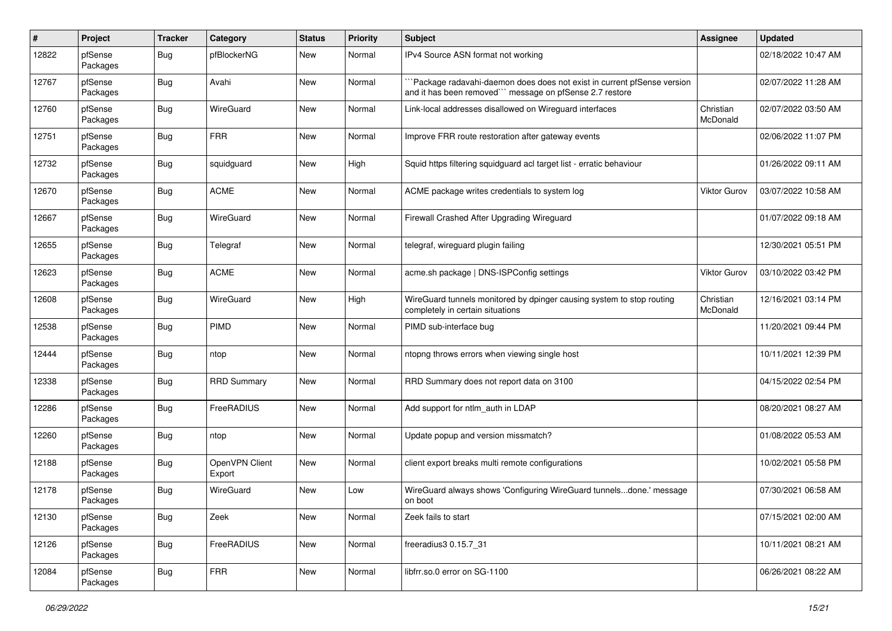| #     | Project             | <b>Tracker</b> | Category                 | <b>Status</b> | <b>Priority</b> | <b>Subject</b>                                                                                                                     | <b>Assignee</b>       | <b>Updated</b>      |
|-------|---------------------|----------------|--------------------------|---------------|-----------------|------------------------------------------------------------------------------------------------------------------------------------|-----------------------|---------------------|
| 12822 | pfSense<br>Packages | Bug            | pfBlockerNG              | New           | Normal          | IPv4 Source ASN format not working                                                                                                 |                       | 02/18/2022 10:47 AM |
| 12767 | pfSense<br>Packages | Bug            | Avahi                    | New           | Normal          | Package radavahi-daemon does does not exist in current pfSense version<br>and it has been removed"" message on pfSense 2.7 restore |                       | 02/07/2022 11:28 AM |
| 12760 | pfSense<br>Packages | <b>Bug</b>     | WireGuard                | New           | Normal          | Link-local addresses disallowed on Wireguard interfaces                                                                            | Christian<br>McDonald | 02/07/2022 03:50 AM |
| 12751 | pfSense<br>Packages | <b>Bug</b>     | <b>FRR</b>               | New           | Normal          | Improve FRR route restoration after gateway events                                                                                 |                       | 02/06/2022 11:07 PM |
| 12732 | pfSense<br>Packages | Bug            | squidguard               | New           | High            | Squid https filtering squidguard acl target list - erratic behaviour                                                               |                       | 01/26/2022 09:11 AM |
| 12670 | pfSense<br>Packages | Bug            | <b>ACME</b>              | New           | Normal          | ACME package writes credentials to system log                                                                                      | Viktor Gurov          | 03/07/2022 10:58 AM |
| 12667 | pfSense<br>Packages | Bug            | WireGuard                | <b>New</b>    | Normal          | Firewall Crashed After Upgrading Wireguard                                                                                         |                       | 01/07/2022 09:18 AM |
| 12655 | pfSense<br>Packages | Bug            | Telegraf                 | New           | Normal          | telegraf, wireguard plugin failing                                                                                                 |                       | 12/30/2021 05:51 PM |
| 12623 | pfSense<br>Packages | Bug            | <b>ACME</b>              | New           | Normal          | acme.sh package   DNS-ISPConfig settings                                                                                           | Viktor Gurov          | 03/10/2022 03:42 PM |
| 12608 | pfSense<br>Packages | <b>Bug</b>     | WireGuard                | New           | High            | WireGuard tunnels monitored by dpinger causing system to stop routing<br>completely in certain situations                          | Christian<br>McDonald | 12/16/2021 03:14 PM |
| 12538 | pfSense<br>Packages | <b>Bug</b>     | PIMD                     | New           | Normal          | PIMD sub-interface bug                                                                                                             |                       | 11/20/2021 09:44 PM |
| 12444 | pfSense<br>Packages | Bug            | ntop                     | <b>New</b>    | Normal          | ntopng throws errors when viewing single host                                                                                      |                       | 10/11/2021 12:39 PM |
| 12338 | pfSense<br>Packages | Bug            | <b>RRD Summary</b>       | <b>New</b>    | Normal          | RRD Summary does not report data on 3100                                                                                           |                       | 04/15/2022 02:54 PM |
| 12286 | pfSense<br>Packages | <b>Bug</b>     | FreeRADIUS               | New           | Normal          | Add support for ntlm auth in LDAP                                                                                                  |                       | 08/20/2021 08:27 AM |
| 12260 | pfSense<br>Packages | Bug            | ntop                     | <b>New</b>    | Normal          | Update popup and version missmatch?                                                                                                |                       | 01/08/2022 05:53 AM |
| 12188 | pfSense<br>Packages | Bug            | OpenVPN Client<br>Export | <b>New</b>    | Normal          | client export breaks multi remote configurations                                                                                   |                       | 10/02/2021 05:58 PM |
| 12178 | pfSense<br>Packages | <b>Bug</b>     | WireGuard                | New           | Low             | WireGuard always shows 'Configuring WireGuard tunnelsdone.' message<br>on boot                                                     |                       | 07/30/2021 06:58 AM |
| 12130 | pfSense<br>Packages | Bug            | Zeek                     | New           | Normal          | Zeek fails to start                                                                                                                |                       | 07/15/2021 02:00 AM |
| 12126 | pfSense<br>Packages | Bug            | FreeRADIUS               | New           | Normal          | freeradius3 0.15.7_31                                                                                                              |                       | 10/11/2021 08:21 AM |
| 12084 | pfSense<br>Packages | <b>Bug</b>     | <b>FRR</b>               | New           | Normal          | libfrr.so.0 error on SG-1100                                                                                                       |                       | 06/26/2021 08:22 AM |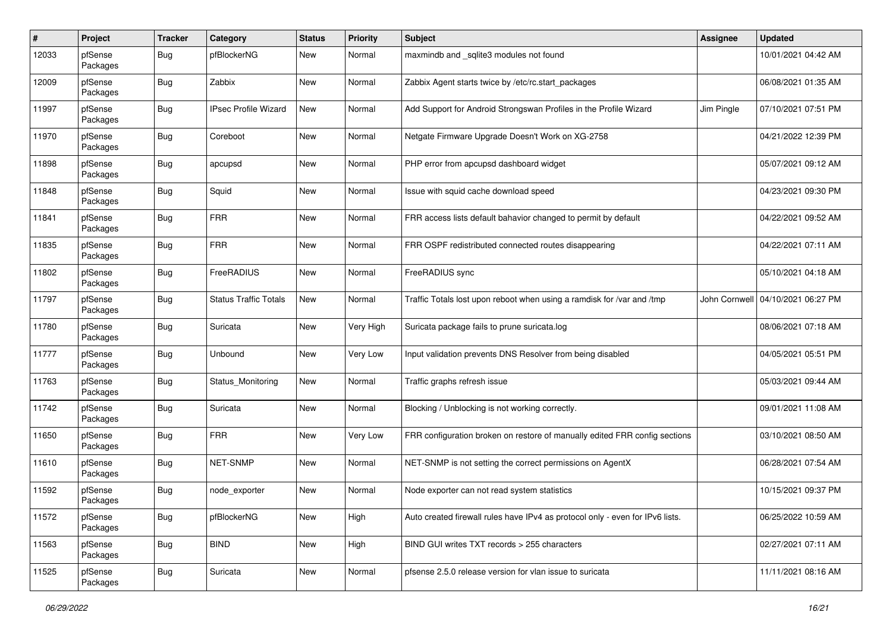| $\pmb{\#}$ | Project             | <b>Tracker</b> | Category                     | <b>Status</b> | <b>Priority</b> | <b>Subject</b>                                                                | Assignee      | <b>Updated</b>      |
|------------|---------------------|----------------|------------------------------|---------------|-----------------|-------------------------------------------------------------------------------|---------------|---------------------|
| 12033      | pfSense<br>Packages | Bug            | pfBlockerNG                  | New           | Normal          | maxmindb and _sqlite3 modules not found                                       |               | 10/01/2021 04:42 AM |
| 12009      | pfSense<br>Packages | Bug            | Zabbix                       | <b>New</b>    | Normal          | Zabbix Agent starts twice by /etc/rc.start_packages                           |               | 06/08/2021 01:35 AM |
| 11997      | pfSense<br>Packages | Bug            | <b>IPsec Profile Wizard</b>  | New           | Normal          | Add Support for Android Strongswan Profiles in the Profile Wizard             | Jim Pingle    | 07/10/2021 07:51 PM |
| 11970      | pfSense<br>Packages | <b>Bug</b>     | Coreboot                     | <b>New</b>    | Normal          | Netgate Firmware Upgrade Doesn't Work on XG-2758                              |               | 04/21/2022 12:39 PM |
| 11898      | pfSense<br>Packages | Bug            | apcupsd                      | <b>New</b>    | Normal          | PHP error from apcupsd dashboard widget                                       |               | 05/07/2021 09:12 AM |
| 11848      | pfSense<br>Packages | Bug            | Squid                        | <b>New</b>    | Normal          | Issue with squid cache download speed                                         |               | 04/23/2021 09:30 PM |
| 11841      | pfSense<br>Packages | <b>Bug</b>     | <b>FRR</b>                   | <b>New</b>    | Normal          | FRR access lists default bahavior changed to permit by default                |               | 04/22/2021 09:52 AM |
| 11835      | pfSense<br>Packages | <b>Bug</b>     | <b>FRR</b>                   | New           | Normal          | FRR OSPF redistributed connected routes disappearing                          |               | 04/22/2021 07:11 AM |
| 11802      | pfSense<br>Packages | Bug            | FreeRADIUS                   | <b>New</b>    | Normal          | FreeRADIUS sync                                                               |               | 05/10/2021 04:18 AM |
| 11797      | pfSense<br>Packages | <b>Bug</b>     | <b>Status Traffic Totals</b> | New           | Normal          | Traffic Totals lost upon reboot when using a ramdisk for /var and /tmp        | John Cornwell | 04/10/2021 06:27 PM |
| 11780      | pfSense<br>Packages | <b>Bug</b>     | Suricata                     | <b>New</b>    | Very High       | Suricata package fails to prune suricata.log                                  |               | 08/06/2021 07:18 AM |
| 11777      | pfSense<br>Packages | Bug            | Unbound                      | <b>New</b>    | Very Low        | Input validation prevents DNS Resolver from being disabled                    |               | 04/05/2021 05:51 PM |
| 11763      | pfSense<br>Packages | Bug            | Status Monitoring            | New           | Normal          | Traffic graphs refresh issue                                                  |               | 05/03/2021 09:44 AM |
| 11742      | pfSense<br>Packages | <b>Bug</b>     | Suricata                     | <b>New</b>    | Normal          | Blocking / Unblocking is not working correctly.                               |               | 09/01/2021 11:08 AM |
| 11650      | pfSense<br>Packages | <b>Bug</b>     | <b>FRR</b>                   | New           | Very Low        | FRR configuration broken on restore of manually edited FRR config sections    |               | 03/10/2021 08:50 AM |
| 11610      | pfSense<br>Packages | <b>Bug</b>     | NET-SNMP                     | <b>New</b>    | Normal          | NET-SNMP is not setting the correct permissions on AgentX                     |               | 06/28/2021 07:54 AM |
| 11592      | pfSense<br>Packages | <b>Bug</b>     | node exporter                | <b>New</b>    | Normal          | Node exporter can not read system statistics                                  |               | 10/15/2021 09:37 PM |
| 11572      | pfSense<br>Packages | <b>Bug</b>     | pfBlockerNG                  | New           | High            | Auto created firewall rules have IPv4 as protocol only - even for IPv6 lists. |               | 06/25/2022 10:59 AM |
| 11563      | pfSense<br>Packages | <b>Bug</b>     | <b>BIND</b>                  | <b>New</b>    | High            | BIND GUI writes TXT records > 255 characters                                  |               | 02/27/2021 07:11 AM |
| 11525      | pfSense<br>Packages | Bug            | Suricata                     | New           | Normal          | pfsense 2.5.0 release version for vlan issue to suricata                      |               | 11/11/2021 08:16 AM |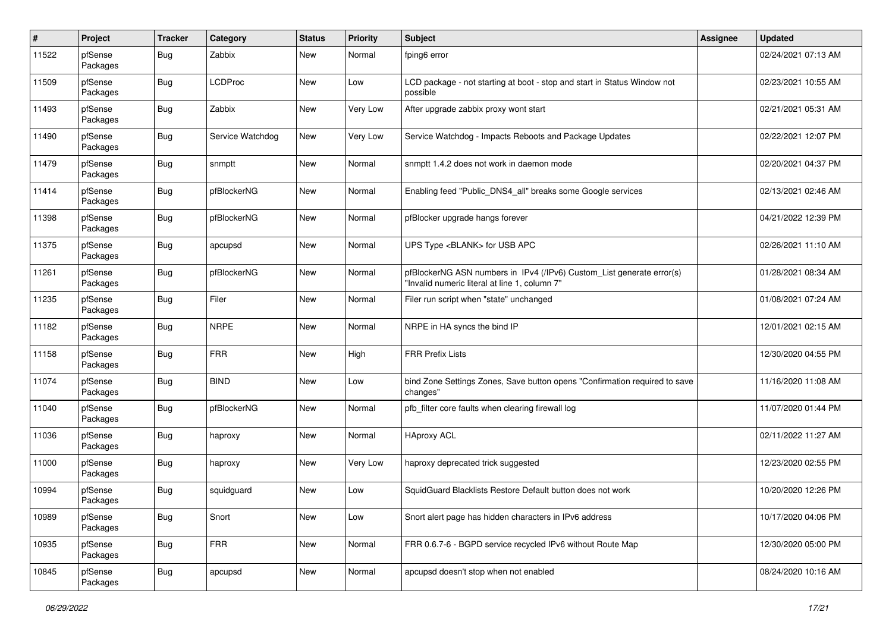| $\#$  | Project             | <b>Tracker</b> | Category         | <b>Status</b> | <b>Priority</b> | <b>Subject</b>                                                                                                         | Assignee | <b>Updated</b>      |
|-------|---------------------|----------------|------------------|---------------|-----------------|------------------------------------------------------------------------------------------------------------------------|----------|---------------------|
| 11522 | pfSense<br>Packages | Bug            | Zabbix           | New           | Normal          | fping6 error                                                                                                           |          | 02/24/2021 07:13 AM |
| 11509 | pfSense<br>Packages | Bug            | <b>LCDProc</b>   | <b>New</b>    | .ow             | LCD package - not starting at boot - stop and start in Status Window not<br>possible                                   |          | 02/23/2021 10:55 AM |
| 11493 | pfSense<br>Packages | <b>Bug</b>     | Zabbix           | <b>New</b>    | Very Low        | After upgrade zabbix proxy wont start                                                                                  |          | 02/21/2021 05:31 AM |
| 11490 | pfSense<br>Packages | <b>Bug</b>     | Service Watchdog | New           | Very Low        | Service Watchdog - Impacts Reboots and Package Updates                                                                 |          | 02/22/2021 12:07 PM |
| 11479 | pfSense<br>Packages | <b>Bug</b>     | snmptt           | New           | Normal          | snmptt 1.4.2 does not work in daemon mode                                                                              |          | 02/20/2021 04:37 PM |
| 11414 | pfSense<br>Packages | <b>Bug</b>     | pfBlockerNG      | New           | Normal          | Enabling feed "Public DNS4 all" breaks some Google services                                                            |          | 02/13/2021 02:46 AM |
| 11398 | pfSense<br>Packages | <b>Bug</b>     | pfBlockerNG      | New           | Normal          | pfBlocker upgrade hangs forever                                                                                        |          | 04/21/2022 12:39 PM |
| 11375 | pfSense<br>Packages | <b>Bug</b>     | apcupsd          | New           | Normal          | UPS Type <blank> for USB APC</blank>                                                                                   |          | 02/26/2021 11:10 AM |
| 11261 | pfSense<br>Packages | <b>Bug</b>     | pfBlockerNG      | New           | Normal          | pfBlockerNG ASN numbers in IPv4 (/IPv6) Custom_List generate error(s)<br>"Invalid numeric literal at line 1, column 7" |          | 01/28/2021 08:34 AM |
| 11235 | pfSense<br>Packages | <b>Bug</b>     | Filer            | New           | Normal          | Filer run script when "state" unchanged                                                                                |          | 01/08/2021 07:24 AM |
| 11182 | pfSense<br>Packages | <b>Bug</b>     | <b>NRPE</b>      | <b>New</b>    | Normal          | NRPE in HA syncs the bind IP                                                                                           |          | 12/01/2021 02:15 AM |
| 11158 | pfSense<br>Packages | <b>Bug</b>     | <b>FRR</b>       | New           | High            | <b>FRR Prefix Lists</b>                                                                                                |          | 12/30/2020 04:55 PM |
| 11074 | pfSense<br>Packages | <b>Bug</b>     | <b>BIND</b>      | New           | Low             | bind Zone Settings Zones, Save button opens "Confirmation required to save<br>changes"                                 |          | 11/16/2020 11:08 AM |
| 11040 | pfSense<br>Packages | <b>Bug</b>     | pfBlockerNG      | New           | Normal          | pfb filter core faults when clearing firewall log                                                                      |          | 11/07/2020 01:44 PM |
| 11036 | pfSense<br>Packages | <b>Bug</b>     | haproxy          | New           | Normal          | <b>HAproxy ACL</b>                                                                                                     |          | 02/11/2022 11:27 AM |
| 11000 | pfSense<br>Packages | <b>Bug</b>     | haproxy          | New           | Very Low        | haproxy deprecated trick suggested                                                                                     |          | 12/23/2020 02:55 PM |
| 10994 | pfSense<br>Packages | <b>Bug</b>     | squidguard       | New           | Low             | SquidGuard Blacklists Restore Default button does not work                                                             |          | 10/20/2020 12:26 PM |
| 10989 | pfSense<br>Packages | <b>Bug</b>     | Snort            | New           | .ow             | Snort alert page has hidden characters in IPv6 address                                                                 |          | 10/17/2020 04:06 PM |
| 10935 | pfSense<br>Packages | <b>Bug</b>     | <b>FRR</b>       | New           | Normal          | FRR 0.6.7-6 - BGPD service recycled IPv6 without Route Map                                                             |          | 12/30/2020 05:00 PM |
| 10845 | pfSense<br>Packages | <b>Bug</b>     | apcupsd          | New           | Normal          | apcupsd doesn't stop when not enabled                                                                                  |          | 08/24/2020 10:16 AM |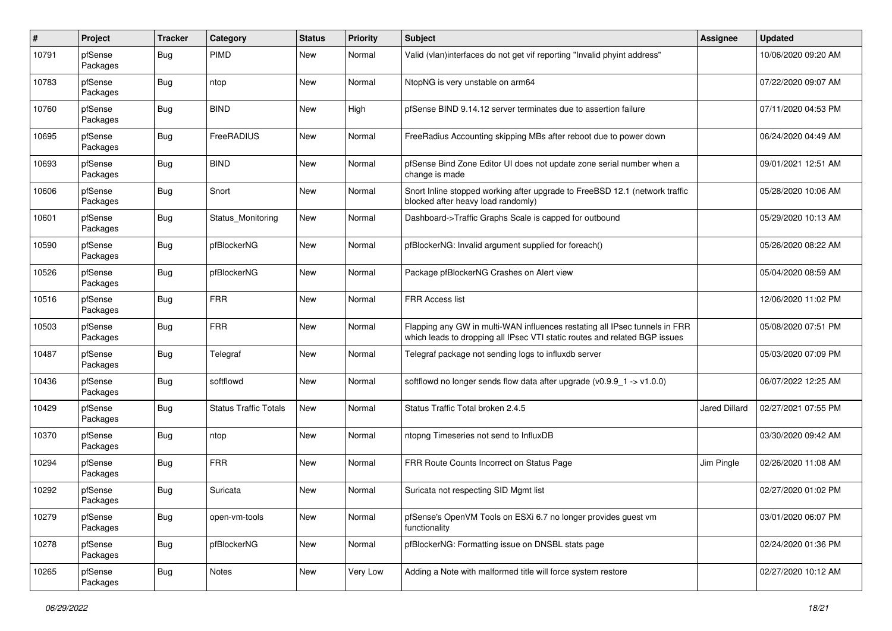| $\pmb{\#}$ | Project             | <b>Tracker</b> | Category                     | <b>Status</b> | <b>Priority</b> | Subject                                                                                                                                                  | Assignee             | <b>Updated</b>      |
|------------|---------------------|----------------|------------------------------|---------------|-----------------|----------------------------------------------------------------------------------------------------------------------------------------------------------|----------------------|---------------------|
| 10791      | pfSense<br>Packages | Bug            | <b>PIMD</b>                  | New           | Normal          | Valid (vlan)interfaces do not get vif reporting "Invalid phyint address"                                                                                 |                      | 10/06/2020 09:20 AM |
| 10783      | pfSense<br>Packages | Bug            | ntop                         | <b>New</b>    | Normal          | NtopNG is very unstable on arm64                                                                                                                         |                      | 07/22/2020 09:07 AM |
| 10760      | pfSense<br>Packages | Bug            | <b>BIND</b>                  | New           | High            | pfSense BIND 9.14.12 server terminates due to assertion failure                                                                                          |                      | 07/11/2020 04:53 PM |
| 10695      | pfSense<br>Packages | <b>Bug</b>     | FreeRADIUS                   | New           | Normal          | FreeRadius Accounting skipping MBs after reboot due to power down                                                                                        |                      | 06/24/2020 04:49 AM |
| 10693      | pfSense<br>Packages | <b>Bug</b>     | <b>BIND</b>                  | New           | Normal          | pfSense Bind Zone Editor UI does not update zone serial number when a<br>change is made                                                                  |                      | 09/01/2021 12:51 AM |
| 10606      | pfSense<br>Packages | Bug            | Snort                        | New           | Normal          | Snort Inline stopped working after upgrade to FreeBSD 12.1 (network traffic<br>blocked after heavy load randomly)                                        |                      | 05/28/2020 10:06 AM |
| 10601      | pfSense<br>Packages | Bug            | Status Monitoring            | New           | Normal          | Dashboard->Traffic Graphs Scale is capped for outbound                                                                                                   |                      | 05/29/2020 10:13 AM |
| 10590      | pfSense<br>Packages | <b>Bug</b>     | pfBlockerNG                  | New           | Normal          | pfBlockerNG: Invalid argument supplied for foreach()                                                                                                     |                      | 05/26/2020 08:22 AM |
| 10526      | pfSense<br>Packages | <b>Bug</b>     | pfBlockerNG                  | <b>New</b>    | Normal          | Package pfBlockerNG Crashes on Alert view                                                                                                                |                      | 05/04/2020 08:59 AM |
| 10516      | pfSense<br>Packages | Bug            | <b>FRR</b>                   | <b>New</b>    | Normal          | FRR Access list                                                                                                                                          |                      | 12/06/2020 11:02 PM |
| 10503      | pfSense<br>Packages | <b>Bug</b>     | <b>FRR</b>                   | New           | Normal          | Flapping any GW in multi-WAN influences restating all IPsec tunnels in FRR<br>which leads to dropping all IPsec VTI static routes and related BGP issues |                      | 05/08/2020 07:51 PM |
| 10487      | pfSense<br>Packages | Bug            | Telegraf                     | New           | Normal          | Telegraf package not sending logs to influxdb server                                                                                                     |                      | 05/03/2020 07:09 PM |
| 10436      | pfSense<br>Packages | <b>Bug</b>     | softflowd                    | New           | Normal          | softflowd no longer sends flow data after upgrade ( $v0.9.9 - 1$ -> $v1.0.0$ )                                                                           |                      | 06/07/2022 12:25 AM |
| 10429      | pfSense<br>Packages | Bug            | <b>Status Traffic Totals</b> | New           | Normal          | Status Traffic Total broken 2.4.5                                                                                                                        | <b>Jared Dillard</b> | 02/27/2021 07:55 PM |
| 10370      | pfSense<br>Packages | <b>Bug</b>     | ntop                         | New           | Normal          | ntopng Timeseries not send to InfluxDB                                                                                                                   |                      | 03/30/2020 09:42 AM |
| 10294      | pfSense<br>Packages | Bug            | <b>FRR</b>                   | New           | Normal          | FRR Route Counts Incorrect on Status Page                                                                                                                | Jim Pingle           | 02/26/2020 11:08 AM |
| 10292      | pfSense<br>Packages | <b>Bug</b>     | Suricata                     | New           | Normal          | Suricata not respecting SID Mgmt list                                                                                                                    |                      | 02/27/2020 01:02 PM |
| 10279      | pfSense<br>Packages | <b>Bug</b>     | open-vm-tools                | New           | Normal          | pfSense's OpenVM Tools on ESXi 6.7 no longer provides guest vm<br>functionality                                                                          |                      | 03/01/2020 06:07 PM |
| 10278      | pfSense<br>Packages | <b>Bug</b>     | pfBlockerNG                  | New           | Normal          | pfBlockerNG: Formatting issue on DNSBL stats page                                                                                                        |                      | 02/24/2020 01:36 PM |
| 10265      | pfSense<br>Packages | <b>Bug</b>     | Notes                        | New           | Very Low        | Adding a Note with malformed title will force system restore                                                                                             |                      | 02/27/2020 10:12 AM |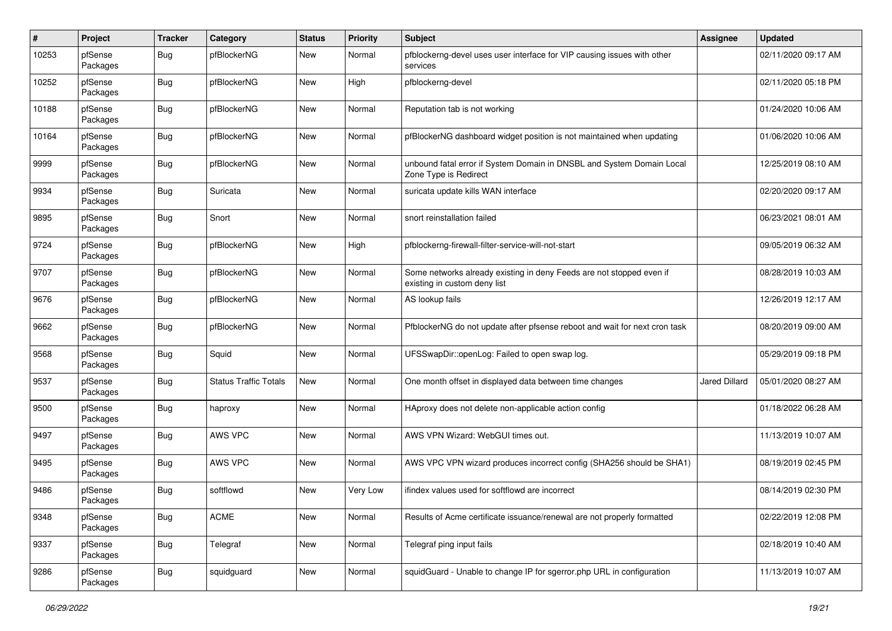| $\pmb{\#}$ | Project             | <b>Tracker</b> | Category                     | <b>Status</b> | <b>Priority</b> | Subject                                                                                              | Assignee             | <b>Updated</b>      |
|------------|---------------------|----------------|------------------------------|---------------|-----------------|------------------------------------------------------------------------------------------------------|----------------------|---------------------|
| 10253      | pfSense<br>Packages | Bug            | pfBlockerNG                  | New           | Normal          | pfblockerng-devel uses user interface for VIP causing issues with other<br>services                  |                      | 02/11/2020 09:17 AM |
| 10252      | pfSense<br>Packages | Bug            | pfBlockerNG                  | New           | High            | pfblockerng-devel                                                                                    |                      | 02/11/2020 05:18 PM |
| 10188      | pfSense<br>Packages | <b>Bug</b>     | pfBlockerNG                  | <b>New</b>    | Normal          | Reputation tab is not working                                                                        |                      | 01/24/2020 10:06 AM |
| 10164      | pfSense<br>Packages | <b>Bug</b>     | pfBlockerNG                  | New           | Normal          | pfBlockerNG dashboard widget position is not maintained when updating                                |                      | 01/06/2020 10:06 AM |
| 9999       | pfSense<br>Packages | <b>Bug</b>     | pfBlockerNG                  | New           | Normal          | unbound fatal error if System Domain in DNSBL and System Domain Local<br>Zone Type is Redirect       |                      | 12/25/2019 08:10 AM |
| 9934       | pfSense<br>Packages | <b>Bug</b>     | Suricata                     | New           | Normal          | suricata update kills WAN interface                                                                  |                      | 02/20/2020 09:17 AM |
| 9895       | pfSense<br>Packages | <b>Bug</b>     | Snort                        | New           | Normal          | snort reinstallation failed                                                                          |                      | 06/23/2021 08:01 AM |
| 9724       | pfSense<br>Packages | <b>Bug</b>     | pfBlockerNG                  | New           | High            | pfblockerng-firewall-filter-service-will-not-start                                                   |                      | 09/05/2019 06:32 AM |
| 9707       | pfSense<br>Packages | <b>Bug</b>     | pfBlockerNG                  | New           | Normal          | Some networks already existing in deny Feeds are not stopped even if<br>existing in custom deny list |                      | 08/28/2019 10:03 AM |
| 9676       | pfSense<br>Packages | <b>Bug</b>     | pfBlockerNG                  | New           | Normal          | AS lookup fails                                                                                      |                      | 12/26/2019 12:17 AM |
| 9662       | pfSense<br>Packages | Bug            | pfBlockerNG                  | New           | Normal          | PfblockerNG do not update after pfsense reboot and wait for next cron task                           |                      | 08/20/2019 09:00 AM |
| 9568       | pfSense<br>Packages | <b>Bug</b>     | Squid                        | New           | Normal          | UFSSwapDir::openLog: Failed to open swap log.                                                        |                      | 05/29/2019 09:18 PM |
| 9537       | pfSense<br>Packages | <b>Bug</b>     | <b>Status Traffic Totals</b> | New           | Normal          | One month offset in displayed data between time changes                                              | <b>Jared Dillard</b> | 05/01/2020 08:27 AM |
| 9500       | pfSense<br>Packages | <b>Bug</b>     | haproxy                      | New           | Normal          | HAproxy does not delete non-applicable action config                                                 |                      | 01/18/2022 06:28 AM |
| 9497       | pfSense<br>Packages | Bug            | AWS VPC                      | New           | Normal          | AWS VPN Wizard: WebGUI times out.                                                                    |                      | 11/13/2019 10:07 AM |
| 9495       | pfSense<br>Packages | Bug            | AWS VPC                      | New           | Normal          | AWS VPC VPN wizard produces incorrect config (SHA256 should be SHA1)                                 |                      | 08/19/2019 02:45 PM |
| 9486       | pfSense<br>Packages | <b>Bug</b>     | softflowd                    | New           | Very Low        | ifindex values used for softflowd are incorrect                                                      |                      | 08/14/2019 02:30 PM |
| 9348       | pfSense<br>Packages | <b>Bug</b>     | <b>ACME</b>                  | New           | Normal          | Results of Acme certificate issuance/renewal are not properly formatted                              |                      | 02/22/2019 12:08 PM |
| 9337       | pfSense<br>Packages | Bug            | Telegraf                     | New           | Normal          | Telegraf ping input fails                                                                            |                      | 02/18/2019 10:40 AM |
| 9286       | pfSense<br>Packages | <b>Bug</b>     | squidguard                   | New           | Normal          | squidGuard - Unable to change IP for sgerror.php URL in configuration                                |                      | 11/13/2019 10:07 AM |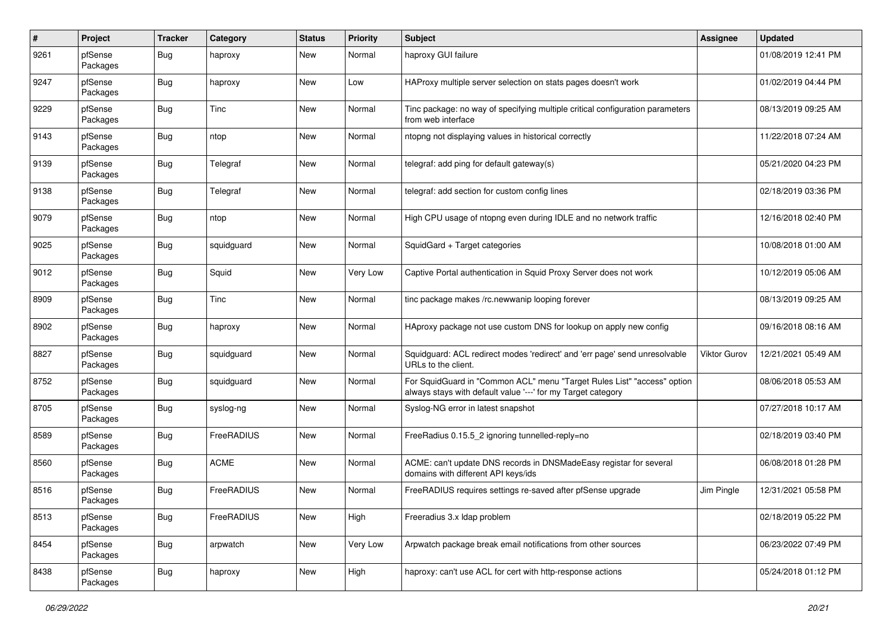| $\#$ | Project             | <b>Tracker</b> | Category    | <b>Status</b> | <b>Priority</b> | Subject                                                                                                                                 | Assignee            | <b>Updated</b>      |
|------|---------------------|----------------|-------------|---------------|-----------------|-----------------------------------------------------------------------------------------------------------------------------------------|---------------------|---------------------|
| 9261 | pfSense<br>Packages | Bug            | haproxy     | New           | Normal          | haproxy GUI failure                                                                                                                     |                     | 01/08/2019 12:41 PM |
| 9247 | pfSense<br>Packages | Bug            | haproxy     | <b>New</b>    | .ow             | HAProxy multiple server selection on stats pages doesn't work                                                                           |                     | 01/02/2019 04:44 PM |
| 9229 | pfSense<br>Packages | <b>Bug</b>     | Tinc        | <b>New</b>    | Normal          | Tinc package: no way of specifying multiple critical configuration parameters<br>from web interface                                     |                     | 08/13/2019 09:25 AM |
| 9143 | pfSense<br>Packages | Bug            | ntop        | New           | Normal          | ntopng not displaying values in historical correctly                                                                                    |                     | 11/22/2018 07:24 AM |
| 9139 | pfSense<br>Packages | <b>Bug</b>     | Telegraf    | New           | Normal          | telegraf: add ping for default gateway(s)                                                                                               |                     | 05/21/2020 04:23 PM |
| 9138 | pfSense<br>Packages | <b>Bug</b>     | Telegraf    | New           | Normal          | telegraf: add section for custom config lines                                                                                           |                     | 02/18/2019 03:36 PM |
| 9079 | pfSense<br>Packages | <b>Bug</b>     | ntop        | New           | Normal          | High CPU usage of ntopng even during IDLE and no network traffic                                                                        |                     | 12/16/2018 02:40 PM |
| 9025 | pfSense<br>Packages | <b>Bug</b>     | squidguard  | New           | Normal          | SquidGard + Target categories                                                                                                           |                     | 10/08/2018 01:00 AM |
| 9012 | pfSense<br>Packages | <b>Bug</b>     | Squid       | New           | Very Low        | Captive Portal authentication in Squid Proxy Server does not work                                                                       |                     | 10/12/2019 05:06 AM |
| 8909 | pfSense<br>Packages | <b>Bug</b>     | Tinc        | New           | Normal          | tinc package makes /rc.newwanip looping forever                                                                                         |                     | 08/13/2019 09:25 AM |
| 8902 | pfSense<br>Packages | Bug            | haproxy     | New           | Normal          | HAproxy package not use custom DNS for lookup on apply new config                                                                       |                     | 09/16/2018 08:16 AM |
| 8827 | pfSense<br>Packages | Bug            | squidguard  | New           | Normal          | Squidguard: ACL redirect modes 'redirect' and 'err page' send unresolvable<br>URLs to the client.                                       | <b>Viktor Gurov</b> | 12/21/2021 05:49 AM |
| 8752 | pfSense<br>Packages | <b>Bug</b>     | squidguard  | New           | Normal          | For SquidGuard in "Common ACL" menu "Target Rules List" "access" option<br>always stays with default value '---' for my Target category |                     | 08/06/2018 05:53 AM |
| 8705 | pfSense<br>Packages | <b>Bug</b>     | syslog-ng   | New           | Normal          | Syslog-NG error in latest snapshot                                                                                                      |                     | 07/27/2018 10:17 AM |
| 8589 | pfSense<br>Packages | Bug            | FreeRADIUS  | New           | Normal          | FreeRadius 0.15.5_2 ignoring tunnelled-reply=no                                                                                         |                     | 02/18/2019 03:40 PM |
| 8560 | pfSense<br>Packages | <b>Bug</b>     | <b>ACME</b> | New           | Normal          | ACME: can't update DNS records in DNSMadeEasy registar for several<br>domains with different API keys/ids                               |                     | 06/08/2018 01:28 PM |
| 8516 | pfSense<br>Packages | <b>Bug</b>     | FreeRADIUS  | New           | Normal          | FreeRADIUS requires settings re-saved after pfSense upgrade                                                                             | Jim Pingle          | 12/31/2021 05:58 PM |
| 8513 | pfSense<br>Packages | <b>Bug</b>     | FreeRADIUS  | New           | High            | Freeradius 3.x Idap problem                                                                                                             |                     | 02/18/2019 05:22 PM |
| 8454 | pfSense<br>Packages | <b>Bug</b>     | arpwatch    | New           | Very Low        | Arpwatch package break email notifications from other sources                                                                           |                     | 06/23/2022 07:49 PM |
| 8438 | pfSense<br>Packages | <b>Bug</b>     | haproxy     | New           | High            | haproxy: can't use ACL for cert with http-response actions                                                                              |                     | 05/24/2018 01:12 PM |